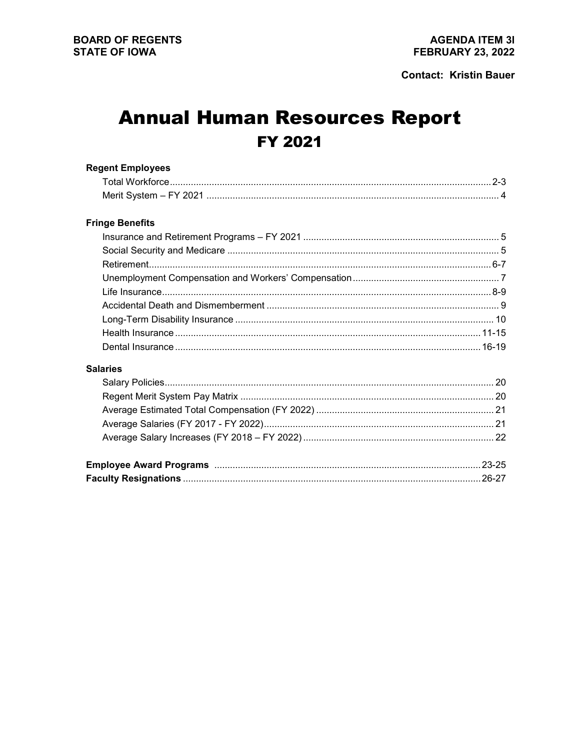# **Annual Human Resources Report FY 2021**

| <b>Regent Employees</b> |  |
|-------------------------|--|
|                         |  |
|                         |  |
| <b>Fringe Benefits</b>  |  |
|                         |  |
|                         |  |
|                         |  |
|                         |  |
|                         |  |
|                         |  |
|                         |  |
|                         |  |
|                         |  |
| <b>Salaries</b>         |  |
|                         |  |
|                         |  |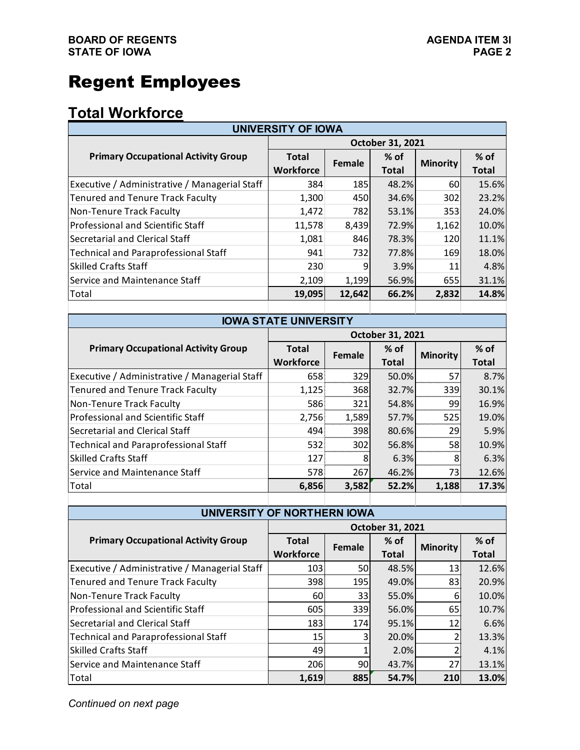# Regent Employees

## **Total Workforce**

| <b>UNIVERSITY OF IOWA</b>                     |                  |        |              |                 |              |  |  |
|-----------------------------------------------|------------------|--------|--------------|-----------------|--------------|--|--|
|                                               | October 31, 2021 |        |              |                 |              |  |  |
| <b>Primary Occupational Activity Group</b>    | <b>Total</b>     | Female | $%$ of       | <b>Minority</b> | % of         |  |  |
|                                               | <b>Workforce</b> |        | <b>Total</b> |                 | <b>Total</b> |  |  |
| Executive / Administrative / Managerial Staff | 384              | 185    | 48.2%        | 60              | 15.6%        |  |  |
| <b>Tenured and Tenure Track Faculty</b>       | 1,300            | 450    | 34.6%        | 302             | 23.2%        |  |  |
| Non-Tenure Track Faculty                      | 1,472            | 782    | 53.1%        | 353             | 24.0%        |  |  |
| Professional and Scientific Staff             | 11,578           | 8,439  | 72.9%        | 1,162           | 10.0%        |  |  |
| Secretarial and Clerical Staff                | 1,081            | 846    | 78.3%        | <b>120</b>      | 11.1%        |  |  |
| <b>Technical and Paraprofessional Staff</b>   | 941              | 732    | 77.8%        | 169             | 18.0%        |  |  |
| <b>Skilled Crafts Staff</b>                   | 230              | 9      | 3.9%         | 11              | 4.8%         |  |  |
| Service and Maintenance Staff                 | 2,109            | 1,199  | 56.9%        | 655             | 31.1%        |  |  |
| Total                                         | 19,095           | 12,642 | 66.2%        | 2,832           | 14.8%        |  |  |
|                                               |                  |        |              |                 |              |  |  |

| <b>IOWA STATE UNIVERSITY</b>                  |                         |        |              |                 |              |  |  |  |
|-----------------------------------------------|-------------------------|--------|--------------|-----------------|--------------|--|--|--|
|                                               | <b>October 31, 2021</b> |        |              |                 |              |  |  |  |
| <b>Primary Occupational Activity Group</b>    | <b>Total</b>            | Female | $%$ of       | <b>Minority</b> | $%$ of       |  |  |  |
|                                               | <b>Workforce</b>        |        | <b>Total</b> |                 | <b>Total</b> |  |  |  |
| Executive / Administrative / Managerial Staff | 658                     | 329    | 50.0%        | 57              | 8.7%         |  |  |  |
| <b>Tenured and Tenure Track Faculty</b>       | 1,125                   | 368    | 32.7%        | 339             | 30.1%        |  |  |  |
| Non-Tenure Track Faculty                      | 586                     | 321    | 54.8%        | 99              | 16.9%        |  |  |  |
| Professional and Scientific Staff             | 2,756                   | 1,589  | 57.7%        | 525             | 19.0%        |  |  |  |
| Secretarial and Clerical Staff                | 494                     | 398    | 80.6%        | 29              | 5.9%         |  |  |  |
| <b>Technical and Paraprofessional Staff</b>   | 532                     | 302    | 56.8%        | 58              | 10.9%        |  |  |  |
| <b>Skilled Crafts Staff</b>                   | 127                     | 8      | 6.3%         |                 | 6.3%         |  |  |  |
| Service and Maintenance Staff                 | 578                     | 267    | 46.2%        | 73              | 12.6%        |  |  |  |
| Total                                         | 6,856                   | 3,582  | 52.2%        | 1,188           | 17.3%        |  |  |  |
|                                               |                         |        |              |                 |              |  |  |  |

| UNIVERSITY OF NORTHERN IOWA                   |                  |           |              |                 |              |  |  |
|-----------------------------------------------|------------------|-----------|--------------|-----------------|--------------|--|--|
|                                               | October 31, 2021 |           |              |                 |              |  |  |
| <b>Primary Occupational Activity Group</b>    | <b>Total</b>     | Female    | $%$ of       | <b>Minority</b> | $%$ of       |  |  |
|                                               | <b>Workforce</b> |           | <b>Total</b> |                 | <b>Total</b> |  |  |
| Executive / Administrative / Managerial Staff | 103              | <b>50</b> | 48.5%        | 13 <sub>l</sub> | 12.6%        |  |  |
| Tenured and Tenure Track Faculty              | 398              | 195       | 49.0%        | 83              | 20.9%        |  |  |
| Non-Tenure Track Faculty                      | 60               | 33        | 55.0%        | 6               | 10.0%        |  |  |
| Professional and Scientific Staff             | 605              | 339       | 56.0%        | 65              | 10.7%        |  |  |
| Secretarial and Clerical Staff                | 183              | 174       | 95.1%        | 12              | 6.6%         |  |  |
| Technical and Paraprofessional Staff          | 15               | 3         | 20.0%        | 2               | 13.3%        |  |  |
| <b>Skilled Crafts Staff</b>                   | 49               |           | 2.0%         |                 | 4.1%         |  |  |
| Service and Maintenance Staff                 | 206              | 90        | 43.7%        | 27 <sup>1</sup> | 13.1%        |  |  |
| Total                                         | 1,619            | 885       | 54.7%        | 210             | 13.0%        |  |  |

*Continued on next page*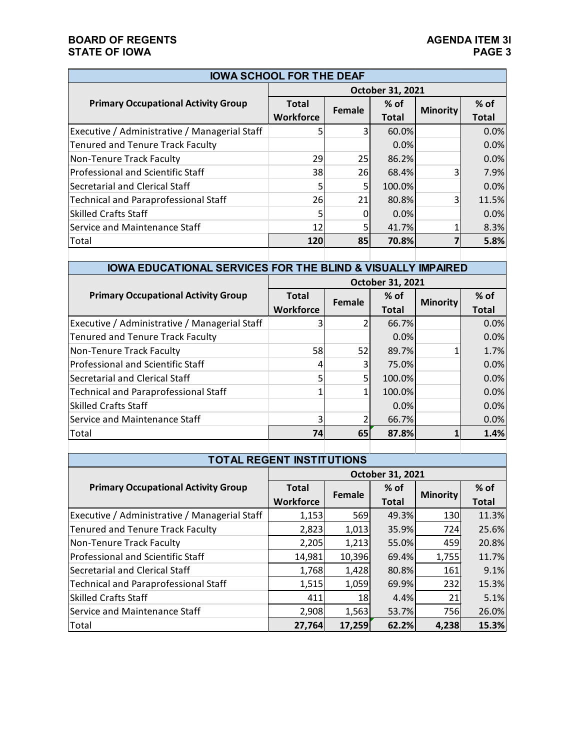#### **BOARD OF REGENTS**<br> **BOARD OF REGENTS**<br> **BOARD OF IOWA**<br>
PAGE 3 **STATE OF IOWA**

| <b>IOWA SCHOOL FOR THE DEAF</b>               |                  |        |              |                 |              |  |  |
|-----------------------------------------------|------------------|--------|--------------|-----------------|--------------|--|--|
|                                               | October 31, 2021 |        |              |                 |              |  |  |
| <b>Primary Occupational Activity Group</b>    | <b>Total</b>     | Female | $%$ of       | <b>Minority</b> | $%$ of       |  |  |
|                                               | <b>Workforce</b> |        | <b>Total</b> |                 | <b>Total</b> |  |  |
| Executive / Administrative / Managerial Staff | 5                | 3      | 60.0%        |                 | 0.0%         |  |  |
| <b>Tenured and Tenure Track Faculty</b>       |                  |        | 0.0%         |                 | 0.0%         |  |  |
| Non-Tenure Track Faculty                      | 29               | 25     | 86.2%        |                 | 0.0%         |  |  |
| Professional and Scientific Staff             | 38               | 26     | 68.4%        | 3               | 7.9%         |  |  |
| Secretarial and Clerical Staff                | 5                | 5      | 100.0%       |                 | 0.0%         |  |  |
| Technical and Paraprofessional Staff          | 26               | 21     | 80.8%        | 3               | 11.5%        |  |  |
| Skilled Crafts Staff                          | 5                |        | 0.0%         |                 | 0.0%         |  |  |
| Service and Maintenance Staff                 | 12               | 5      | 41.7%        |                 | 8.3%         |  |  |
| Total                                         | <b>120</b>       | 85     | 70.8%        |                 | 5.8%         |  |  |
|                                               |                  |        |              |                 |              |  |  |

### **IOWA EDUCATIONAL SERVICES FOR THE BLIND & VISUALLY IMPAIRED**

|                                               | October 31, 2021                 |                |                 |                 |                        |  |
|-----------------------------------------------|----------------------------------|----------------|-----------------|-----------------|------------------------|--|
| <b>Primary Occupational Activity Group</b>    | <b>Total</b><br><b>Workforce</b> | Female         | $%$ of<br>Total | <b>Minority</b> | $%$ of<br><b>Total</b> |  |
| Executive / Administrative / Managerial Staff |                                  | $\overline{2}$ | 66.7%           |                 | 0.0%                   |  |
| <b>Tenured and Tenure Track Faculty</b>       |                                  |                | $0.0\%$         |                 | 0.0%                   |  |
| Non-Tenure Track Faculty                      | 58                               | 52             | 89.7%           |                 | 1.7%                   |  |
| Professional and Scientific Staff             |                                  | 3              | 75.0%           |                 | 0.0%                   |  |
| Secretarial and Clerical Staff                |                                  | 5              | 100.0%          |                 | 0.0%                   |  |
| <b>Technical and Paraprofessional Staff</b>   |                                  |                | 100.0%          |                 | 0.0%                   |  |
| <b>Skilled Crafts Staff</b>                   |                                  |                | $0.0\%$         |                 | 0.0%                   |  |
| Service and Maintenance Staff                 |                                  | 2              | 66.7%           |                 | 0.0%                   |  |
| Total                                         | 74                               | 65             | 87.8%           |                 | 1.4%                   |  |
|                                               |                                  |                |                 |                 |                        |  |

| <b>TOTAL REGENT INSTITUTIONS</b>              |                  |        |              |                 |              |  |  |
|-----------------------------------------------|------------------|--------|--------------|-----------------|--------------|--|--|
|                                               | October 31, 2021 |        |              |                 |              |  |  |
| <b>Primary Occupational Activity Group</b>    | <b>Total</b>     | Female | % of         | <b>Minority</b> | % of         |  |  |
|                                               | <b>Workforce</b> |        | <b>Total</b> |                 | <b>Total</b> |  |  |
| Executive / Administrative / Managerial Staff | 1,153            | 569    | 49.3%        | 130             | 11.3%        |  |  |
| Tenured and Tenure Track Faculty              | 2,823            | 1,013  | 35.9%        | 724             | 25.6%        |  |  |
| <b>Non-Tenure Track Faculty</b>               | 2,205            | 1,213  | 55.0%        | 459             | 20.8%        |  |  |
| Professional and Scientific Staff             | 14,981           | 10,396 | 69.4%        | 1,755           | 11.7%        |  |  |
| Secretarial and Clerical Staff                | 1,768            | 1,428  | 80.8%        | 161             | 9.1%         |  |  |
| Technical and Paraprofessional Staff          | 1,515            | 1,059  | 69.9%        | 232             | 15.3%        |  |  |
| <b>Skilled Crafts Staff</b>                   | 411              | 18     | 4.4%         | 21              | 5.1%         |  |  |
| Service and Maintenance Staff                 | 2,908            | 1,563  | 53.7%        | 756             | 26.0%        |  |  |
| Total                                         | 27,764           | 17,259 | 62.2%        | 4,238           | 15.3%        |  |  |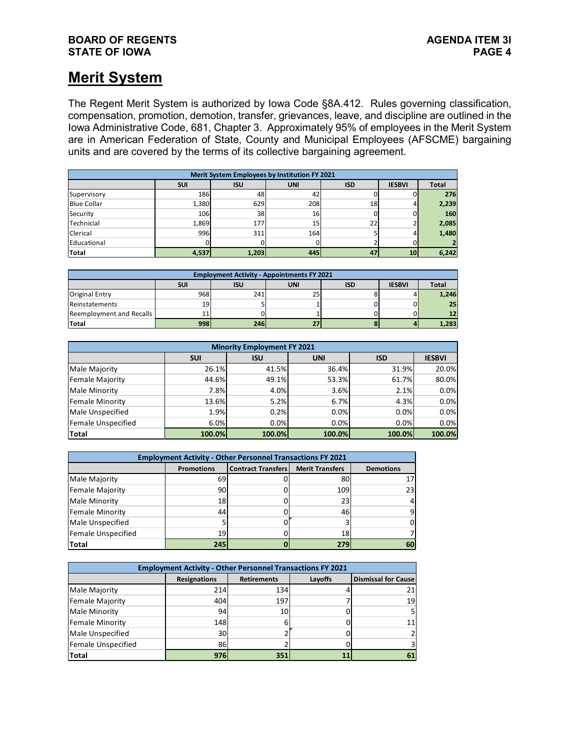#### **BOARD OF REGENTS**<br> **BOARD OF REGENTS**<br> **BOARD OF IOWA**<br> **PAGE 4 STATE OF IOWA**

### **Merit System**

The Regent Merit System is authorized by Iowa Code §8A.412. Rules governing classification, compensation, promotion, demotion, transfer, grievances, leave, and discipline are outlined in the Iowa Administrative Code, 681, Chapter 3. Approximately 95% of employees in the Merit System are in American Federation of State, County and Municipal Employees (AFSCME) bargaining units and are covered by the terms of its collective bargaining agreement.

| Merit System Employees by Institution FY 2021 |            |            |            |            |               |       |  |  |
|-----------------------------------------------|------------|------------|------------|------------|---------------|-------|--|--|
|                                               | <b>SUI</b> | <b>ISU</b> | <b>UNI</b> | <b>ISD</b> | <b>IESBVI</b> | Total |  |  |
| Supervisory                                   | 186        | 48         | 42         |            |               | 276   |  |  |
| <b>Blue Collar</b>                            | 1,380      | 629        | 208        | 18         | 4             | 2,239 |  |  |
| Security                                      | 106        | 38         | 16         |            |               | 160   |  |  |
| <b>Technicial</b>                             | 1,869      | 177        | 15         | 22         |               | 2,085 |  |  |
| <b>Clerical</b>                               | 996        | 311        | 164        |            | 4             | 1,480 |  |  |
| Educational                                   |            |            |            |            |               |       |  |  |
| <b>Total</b>                                  | 4,537      | 1,203      | 445        | 47         | 10            | 6,242 |  |  |

| <b>Employment Activity - Appointments FY 2021</b> |            |            |     |     |               |                 |  |  |
|---------------------------------------------------|------------|------------|-----|-----|---------------|-----------------|--|--|
|                                                   | <b>SUI</b> | <b>ISU</b> | UNI | ISD | <b>IESBVI</b> | <b>Total</b>    |  |  |
| <b>Original Entry</b>                             | 968        | 241        | 25  |     |               | 1,246           |  |  |
| Reinstatements                                    | 19         |            |     |     |               | 25 <sub>1</sub> |  |  |
| Reemployment and Recalls                          | 11         |            |     |     |               | 12              |  |  |
| <b>Total</b>                                      | 998        | 246        |     |     |               | 1,283           |  |  |

| <b>Minority Employment FY 2021</b> |            |            |            |            |               |  |  |  |  |
|------------------------------------|------------|------------|------------|------------|---------------|--|--|--|--|
|                                    | <b>SUI</b> | <b>ISU</b> | <b>UNI</b> | <b>ISD</b> | <b>IESBVI</b> |  |  |  |  |
| Male Majority                      | 26.1%      | 41.5%      | 36.4%      | 31.9%      | 20.0%         |  |  |  |  |
| Female Majority                    | 44.6%      | 49.1%      | 53.3%      | 61.7%      | 80.0%         |  |  |  |  |
| Male Minority                      | 7.8%       | 4.0%       | 3.6%       | 2.1%       | 0.0%          |  |  |  |  |
| Female Minority                    | 13.6%      | 5.2%       | 6.7%       | 4.3%       | 0.0%          |  |  |  |  |
| Male Unspecified                   | 1.9%       | 0.2%       | 0.0%       | 0.0%       | 0.0%          |  |  |  |  |
| Female Unspecified                 | 6.0%       | 0.0%       | 0.0%       | 0.0%       | 0.0%          |  |  |  |  |
| Total                              | 100.0%     | 100.0%     | 100.0%     | 100.0%     | 100.0%        |  |  |  |  |

| <b>Employment Activity - Other Personnel Transactions FY 2021</b> |                   |                           |                        |                  |  |  |  |  |  |
|-------------------------------------------------------------------|-------------------|---------------------------|------------------------|------------------|--|--|--|--|--|
|                                                                   | <b>Promotions</b> | <b>Contract Transfers</b> | <b>Merit Transfers</b> | <b>Demotions</b> |  |  |  |  |  |
| Male Majority                                                     | 69                |                           | 80                     |                  |  |  |  |  |  |
| Female Majority                                                   | 90                |                           | 109                    | 23               |  |  |  |  |  |
| Male Minority                                                     | 18                |                           | 23                     |                  |  |  |  |  |  |
| Female Minority                                                   | 44                |                           | 46                     |                  |  |  |  |  |  |
| Male Unspecified                                                  |                   |                           |                        |                  |  |  |  |  |  |
| Female Unspecified                                                | 19                |                           | 18                     |                  |  |  |  |  |  |
| Total                                                             | 245               |                           | 279                    |                  |  |  |  |  |  |

| <b>Employment Activity - Other Personnel Transactions FY 2021</b> |                     |                    |         |                            |  |  |  |  |  |
|-------------------------------------------------------------------|---------------------|--------------------|---------|----------------------------|--|--|--|--|--|
|                                                                   | <b>Resignations</b> | <b>Retirements</b> | Layoffs | <b>Dismissal for Cause</b> |  |  |  |  |  |
| Male Majority                                                     | 214                 | 134                |         | 211                        |  |  |  |  |  |
| Female Majority                                                   | 404                 | 197                |         | 19 <sub>l</sub>            |  |  |  |  |  |
| Male Minority                                                     | 94                  | 10                 |         |                            |  |  |  |  |  |
| Female Minority                                                   | 148                 |                    |         |                            |  |  |  |  |  |
| Male Unspecified                                                  | 30                  |                    |         |                            |  |  |  |  |  |
| Female Unspecified                                                | 86                  |                    |         |                            |  |  |  |  |  |
| Total                                                             | 976                 | 351                |         |                            |  |  |  |  |  |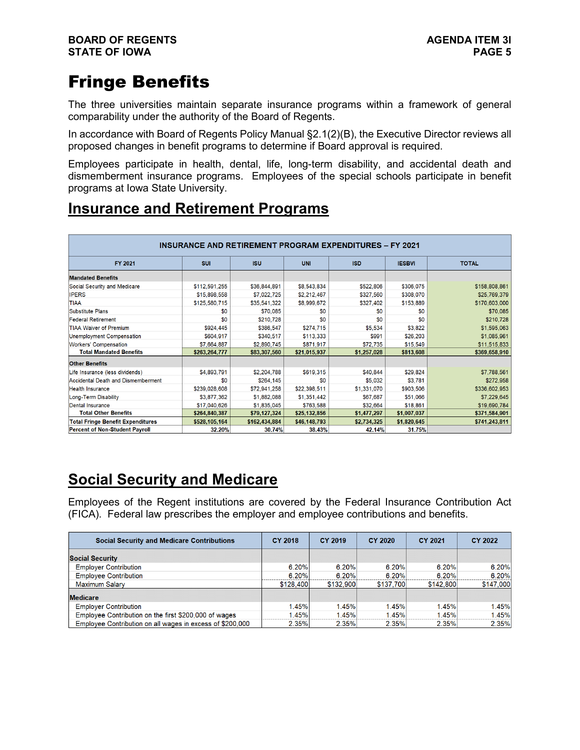## Fringe Benefits

The three universities maintain separate insurance programs within a framework of general comparability under the authority of the Board of Regents.

In accordance with Board of Regents Policy Manual §2.1(2)(B), the Executive Director reviews all proposed changes in benefit programs to determine if Board approval is required.

Employees participate in health, dental, life, long-term disability, and accidental death and dismemberment insurance programs. Employees of the special schools participate in benefit programs at Iowa State University.

## **Insurance and Retirement Programs**

| <b>INSURANCE AND RETIREMENT PROGRAM EXPENDITURES - FY 2021</b> |               |               |              |             |               |               |  |  |  |  |
|----------------------------------------------------------------|---------------|---------------|--------------|-------------|---------------|---------------|--|--|--|--|
| <b>FY 2021</b>                                                 | <b>SUI</b>    | <b>ISU</b>    | <b>UNI</b>   | <b>ISD</b>  | <b>IESBVI</b> | <b>TOTAL</b>  |  |  |  |  |
| <b>Mandated Benefits</b>                                       |               |               |              |             |               |               |  |  |  |  |
| Social Security and Medicare                                   | \$112,591,255 | \$36,844,891  | \$8,543,834  | \$522,806   | \$306,075     | \$158,808,861 |  |  |  |  |
| <b>IPERS</b>                                                   | \$15,898,558  | \$7,022,725   | \$2,212,467  | \$327,560   | \$308,070     | \$25,769,379  |  |  |  |  |
| <b>TIAA</b>                                                    | \$125,580,715 | \$35,541,322  | \$8,999,672  | \$327,402   | \$153,889     | \$170,603,000 |  |  |  |  |
| Substitute Plans                                               | \$0           | \$70,085      | \$0          | \$0         | \$0           | \$70,085      |  |  |  |  |
| <b>Federal Retirement</b>                                      | \$0           | \$210,728     | \$0          | \$0         | \$0           | \$210,728     |  |  |  |  |
| <b>TIAA Waiver of Premium</b>                                  | \$924,445     | \$386,547     | \$274,715    | \$5,534     | \$3,822       | \$1,595,063   |  |  |  |  |
| Unemployment Compensation                                      | \$604,917     | \$340,517     | \$113,333    | \$991       | \$26,203      | \$1,085,961   |  |  |  |  |
| <b>Workers' Compensation</b>                                   | \$7,664,887   | \$2,890,745   | \$871,917    | \$72,735    | \$15,549      | \$11,515,833  |  |  |  |  |
| <b>Total Mandated Benefits</b>                                 | \$263,264,777 | \$83,307,560  | \$21,015,937 | \$1,257,028 | \$813,608     | \$369,658,910 |  |  |  |  |
| <b>Other Benefits</b>                                          |               |               |              |             |               |               |  |  |  |  |
| Life Insurance (less dividends)                                | \$4,893,791   | \$2,204,788   | \$619,315    | \$40,844    | \$29,824      | \$7,788,561   |  |  |  |  |
| Accidental Death and Dismemberment                             | \$0           | \$264,145     | \$0          | \$5,032     | \$3,781       | \$272,958     |  |  |  |  |
| <b>Health Insurance</b>                                        | \$239,028,608 | \$72,941,258  | \$22,398,511 | \$1,331,070 | \$903,506     | \$336,602,953 |  |  |  |  |
| Long-Term Disability                                           | \$3,877,362   | \$1,882,088   | \$1,351,442  | \$67,687    | \$51,066      | \$7,229,645   |  |  |  |  |
| <b>Dental Insurance</b>                                        | \$17,040,626  | \$1,835,045   | \$763,588    | \$32,664    | \$18,861      | \$19,690,784  |  |  |  |  |
| <b>Total Other Benefits</b>                                    | \$264,840,387 | \$79,127,324  | \$25,132,856 | \$1,477,297 | \$1,007,037   | \$371,584,901 |  |  |  |  |
| <b>Total Fringe Benefit Expenditures</b>                       | \$528,105,164 | \$162,434,884 | \$46,148,793 | \$2,734,325 | \$1,820,645   | \$741,243,811 |  |  |  |  |
| Percent of Non-Student Payroll                                 | 32.20%        | 30.74%        | 38.43%       | 42.14%      | 31.75%        |               |  |  |  |  |

## **Social Security and Medicare**

Employees of the Regent institutions are covered by the Federal Insurance Contribution Act (FICA). Federal law prescribes the employer and employee contributions and benefits.

| <b>Social Security and Medicare Contributions</b>         | CY 2018   | CY 2019   | <b>CY 2020</b> | CY 2021   | CY 2022   |
|-----------------------------------------------------------|-----------|-----------|----------------|-----------|-----------|
| <b>Social Security</b>                                    |           |           |                |           |           |
| <b>Employer Contribution</b>                              | 6.20%     | 6.20%     | 6.20%          | 6.20%     | 6.20%     |
| <b>Employee Contribution</b>                              | 6.20%     | 6.20%     | 6.20%          | 6.20%     | 6.20%     |
| <b>Maximum Salary</b>                                     | \$128,400 | \$132,900 | \$137,700      | \$142,800 | \$147,000 |
| <b>Medicare</b>                                           |           |           |                |           |           |
| <b>Employer Contribution</b>                              | 1.45%     | 1.45%     | 1.45%          | 1.45%     | 1.45%     |
| Employee Contribution on the first \$200,000 of wages     | 1.45%     | 1.45%     | 1.45%          | 1.45%     | 1.45%     |
| Employee Contribution on all wages in excess of \$200,000 | 2.35%     | 2.35%     | 2.35%          | 2.35%     | 2.35%     |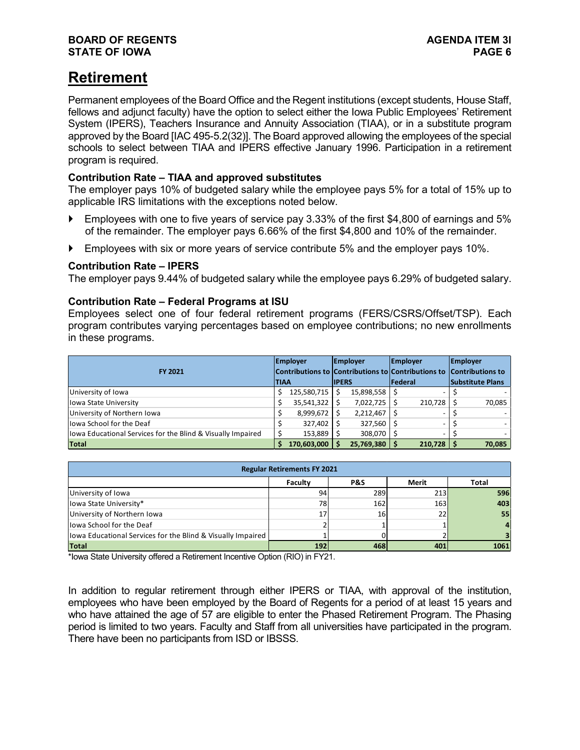## **Retirement**

Permanent employees of the Board Office and the Regent institutions (except students, House Staff, fellows and adjunct faculty) have the option to select either the Iowa Public Employees' Retirement System (IPERS), Teachers Insurance and Annuity Association (TIAA), or in a substitute program approved by the Board [IAC 495-5.2(32)]. The Board approved allowing the employees of the special schools to select between TIAA and IPERS effective January 1996. Participation in a retirement program is required.

#### **Contribution Rate – TIAA and approved substitutes**

The employer pays 10% of budgeted salary while the employee pays 5% for a total of 15% up to applicable IRS limitations with the exceptions noted below.

- Employees with one to five years of service pay 3.33% of the first \$4,800 of earnings and 5% of the remainder. The employer pays 6.66% of the first \$4,800 and 10% of the remainder.
- **Employees with six or more years of service contribute 5% and the employer pays 10%.**

#### **Contribution Rate – IPERS**

The employer pays 9.44% of budgeted salary while the employee pays 6.29% of budgeted salary.

#### **Contribution Rate – Federal Programs at ISU**

Employees select one of four federal retirement programs (FERS/CSRS/Offset/TSP). Each program contributes varying percentages based on employee contributions; no new enrollments in these programs.

| <b>FY 2021</b>                                               |       | <b>Employer</b><br>Contributions to Contributions to Contributions to |               | Employer   |                 | <b>Employer</b> |  | <b>Employer</b><br><b>Contributions to</b> |  |
|--------------------------------------------------------------|-------|-----------------------------------------------------------------------|---------------|------------|-----------------|-----------------|--|--------------------------------------------|--|
|                                                              | ITIAA |                                                                       | <b>IIPERS</b> |            | <b>IFederal</b> |                 |  | <b>Substitute Plans</b>                    |  |
| University of Iowa                                           |       | 125,580,715                                                           |               | 15,898,558 |                 |                 |  |                                            |  |
| lowa State University                                        |       | 35,541,322                                                            |               | 7,022,725  |                 | 210,728         |  | 70,085                                     |  |
| University of Northern Iowa                                  |       | 8,999,672                                                             |               | 2,212,467  |                 | -               |  |                                            |  |
| llowa School for the Deaf                                    |       | 327,402                                                               |               | 327,560    |                 | -               |  |                                            |  |
| llowa Educational Services for the Blind & Visually Impaired |       | 153,889                                                               |               | 308,070    |                 |                 |  |                                            |  |
| <b>Total</b>                                                 |       | 170,603,000                                                           |               | 25,769,380 |                 | 210,728         |  | 70,085                                     |  |

| <b>Regular Retirements FY 2021</b>                           |     |     |            |      |  |  |  |  |  |
|--------------------------------------------------------------|-----|-----|------------|------|--|--|--|--|--|
| Faculty<br>P&S<br>Total<br>Merit                             |     |     |            |      |  |  |  |  |  |
| University of Iowa                                           | 94  | 289 | <b>213</b> | 596  |  |  |  |  |  |
| lowa State University*                                       | 78  | 162 | <b>163</b> | 403  |  |  |  |  |  |
| University of Northern Iowa                                  |     | 16  | 22         | 55   |  |  |  |  |  |
| lowa School for the Deaf                                     |     |     |            |      |  |  |  |  |  |
| llowa Educational Services for the Blind & Visually Impaired |     |     |            |      |  |  |  |  |  |
| <b>Total</b>                                                 | 192 | 468 | 401        | 1061 |  |  |  |  |  |

\*Iowa State University offered a Retirement Incentive Option (RIO) in FY21.

In addition to regular retirement through either IPERS or TIAA, with approval of the institution, employees who have been employed by the Board of Regents for a period of at least 15 years and who have attained the age of 57 are eligible to enter the Phased Retirement Program. The Phasing period is limited to two years. Faculty and Staff from all universities have participated in the program. There have been no participants from ISD or IBSSS.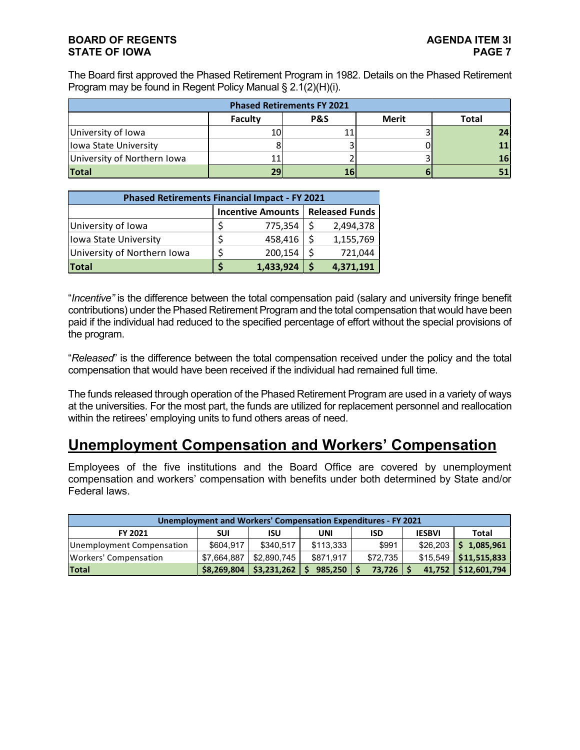#### **BOARD OF REGENTS**<br>STATE OF IOWA **PAGE 2 STATE OF IOWA**

The Board first approved the Phased Retirement Program in 1982. Details on the Phased Retirement Program may be found in Regent Policy Manual § 2.1(2)(H)(i).

| <b>Phased Retirements FY 2021</b> |                                                    |    |  |  |  |  |  |  |  |
|-----------------------------------|----------------------------------------------------|----|--|--|--|--|--|--|--|
|                                   | Faculty<br><b>Merit</b><br><b>P&amp;S</b><br>Total |    |  |  |  |  |  |  |  |
| University of Iowa                | 10                                                 |    |  |  |  |  |  |  |  |
| lowa State University             |                                                    |    |  |  |  |  |  |  |  |
| University of Northern Iowa       |                                                    |    |  |  |  |  |  |  |  |
| <b>Total</b>                      | 29                                                 | 16 |  |  |  |  |  |  |  |

| <b>Phased Retirements Financial Impact - FY 2021</b> |                                           |           |  |           |  |  |  |
|------------------------------------------------------|-------------------------------------------|-----------|--|-----------|--|--|--|
|                                                      | <b>Incentive Amounts   Released Funds</b> |           |  |           |  |  |  |
| University of Iowa                                   |                                           | 775,354   |  | 2,494,378 |  |  |  |
| lowa State University                                | \$                                        | 458,416   |  | 1,155,769 |  |  |  |
| University of Northern Iowa                          | Ś                                         | 200,154   |  | 721,044   |  |  |  |
| <b>Total</b>                                         |                                           | 1,433,924 |  | 4,371,191 |  |  |  |

"*Incentive"* is the difference between the total compensation paid (salary and university fringe benefit contributions) under the Phased Retirement Program and the total compensation that would have been paid if the individual had reduced to the specified percentage of effort without the special provisions of the program.

"*Released*" is the difference between the total compensation received under the policy and the total compensation that would have been received if the individual had remained full time.

The funds released through operation of the Phased Retirement Program are used in a variety of ways at the universities. For the most part, the funds are utilized for replacement personnel and reallocation within the retirees' employing units to fund others areas of need.

### **Unemployment Compensation and Workers' Compensation**

Employees of the five institutions and the Board Office are covered by unemployment compensation and workers' compensation with benefits under both determined by State and/or Federal laws.

| <b>Unemployment and Workers' Compensation Expenditures - FY 2021</b> |             |             |           |            |               |                          |  |  |  |  |
|----------------------------------------------------------------------|-------------|-------------|-----------|------------|---------------|--------------------------|--|--|--|--|
| FY 2021                                                              | SUI         | ISU         | UNI       | <b>ISD</b> | <b>IESBVI</b> | Total                    |  |  |  |  |
| Unemployment Compensation                                            | \$604.917   | \$340.517   | \$113.333 | \$991      |               | $$26,203$   \$ 1,085,961 |  |  |  |  |
| Workers' Compensation                                                | \$7,664,887 | \$2.890.745 | \$871.917 | \$72.735   |               | $$15,549$ \$11,515,833   |  |  |  |  |
| <b>Total</b>                                                         | \$8,269,804 | \$3,231,262 | 985.250   | 73,726     |               | 41,752   \$12,601,794    |  |  |  |  |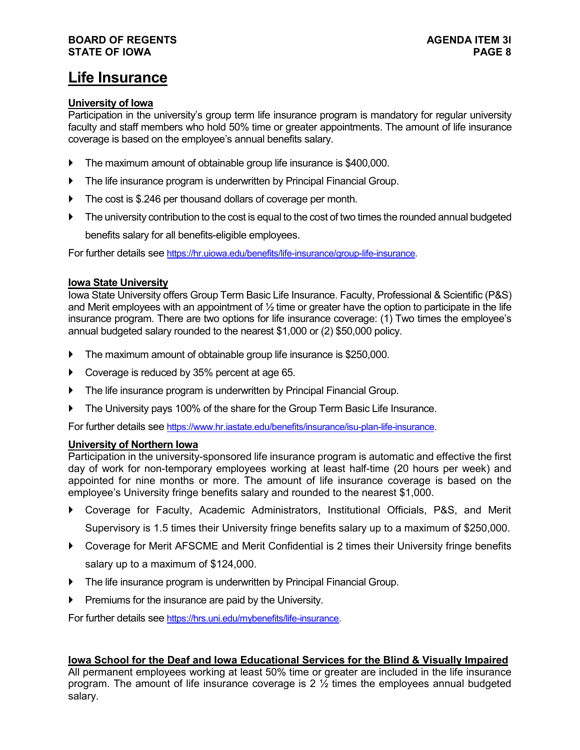#### **BOARD OF REGENTS AGENDA ITEM 3l STATE OF IOWA**

### **Life Insurance**

#### **University of Iowa**

Participation in the university's group term life insurance program is mandatory for regular university faculty and staff members who hold 50% time or greater appointments. The amount of life insurance coverage is based on the employee's annual benefits salary.

- The maximum amount of obtainable group life insurance is \$400,000.
- The life insurance program is underwritten by Principal Financial Group.
- The cost is \$.246 per thousand dollars of coverage per month.
- The university contribution to the cost is equal to the cost of two times the rounded annual budgeted benefits salary for all benefits-eligible employees.

For further details see [https://hr.uiowa.edu/benefits/life-insurance/group-life-insurance.](https://hr.uiowa.edu/benefits/life-insurance/group-life-insurance) 

#### **Iowa State University**

Iowa State University offers Group Term Basic Life Insurance. Faculty, Professional & Scientific (P&S) and Merit employees with an appointment of  $\frac{1}{2}$  time or greater have the option to participate in the life insurance program. There are two options for life insurance coverage: (1) Two times the employee's annual budgeted salary rounded to the nearest \$1,000 or (2) \$50,000 policy.

- The maximum amount of obtainable group life insurance is \$250,000.
- Coverage is reduced by 35% percent at age 65.
- The life insurance program is underwritten by Principal Financial Group.
- ▶ The University pays 100% of the share for the Group Term Basic Life Insurance.

For further details see [https://www.hr.iastate.edu/benefits/insurance/isu-plan-life-insurance.](https://www.hr.iastate.edu/benefits/insurance/isu-plan-life-insurance)

#### **University of Northern Iowa**

Participation in the university-sponsored life insurance program is automatic and effective the first day of work for non-temporary employees working at least half-time (20 hours per week) and appointed for nine months or more. The amount of life insurance coverage is based on the employee's University fringe benefits salary and rounded to the nearest \$1,000.

- Coverage for Faculty, Academic Administrators, Institutional Officials, P&S, and Merit Supervisory is 1.5 times their University fringe benefits salary up to a maximum of \$250,000.
- Coverage for Merit AFSCME and Merit Confidential is 2 times their University fringe benefits salary up to a maximum of \$124,000.
- The life insurance program is underwritten by Principal Financial Group.
- Premiums for the insurance are paid by the University.

For further details see [https://hrs.uni.edu/mybenefits/life-insurance.](https://hrs.uni.edu/mybenefits/life-insurance)

#### **Iowa School for the Deaf and Iowa Educational Services for the Blind & Visually Impaired**

All permanent employees working at least 50% time or greater are included in the life insurance program. The amount of life insurance coverage is  $2 \frac{1}{2}$  times the employees annual budgeted salary.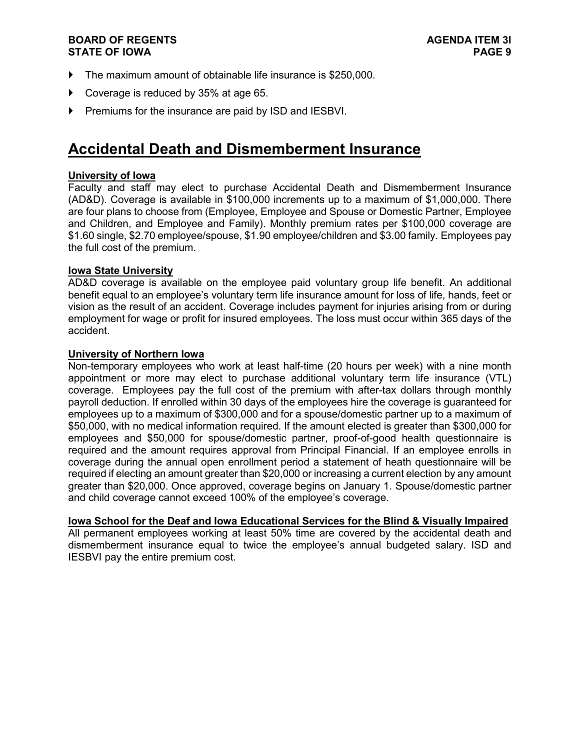#### **BOARD OF REGENTS AGENDA ITEM 3l STATE OF IOWA**

- The maximum amount of obtainable life insurance is \$250,000.
- Coverage is reduced by 35% at age 65.
- Premiums for the insurance are paid by ISD and IESBVI.

### **Accidental Death and Dismemberment Insurance**

#### **University of Iowa**

Faculty and staff may elect to purchase Accidental Death and Dismemberment Insurance (AD&D). Coverage is available in \$100,000 increments up to a maximum of \$1,000,000. There are four plans to choose from (Employee, Employee and Spouse or Domestic Partner, Employee and Children, and Employee and Family). Monthly premium rates per \$100,000 coverage are \$1.60 single, \$2.70 employee/spouse, \$1.90 employee/children and \$3.00 family. Employees pay the full cost of the premium.

#### **Iowa State University**

AD&D coverage is available on the employee paid voluntary group life benefit. An additional benefit equal to an employee's voluntary term life insurance amount for loss of life, hands, feet or vision as the result of an accident. Coverage includes payment for injuries arising from or during employment for wage or profit for insured employees. The loss must occur within 365 days of the accident.

#### **University of Northern Iowa**

Non-temporary employees who work at least half-time (20 hours per week) with a nine month appointment or more may elect to purchase additional voluntary term life insurance (VTL) coverage. Employees pay the full cost of the premium with after-tax dollars through monthly payroll deduction. If enrolled within 30 days of the employees hire the coverage is guaranteed for employees up to a maximum of \$300,000 and for a spouse/domestic partner up to a maximum of \$50,000, with no medical information required. If the amount elected is greater than \$300,000 for employees and \$50,000 for spouse/domestic partner, proof-of-good health questionnaire is required and the amount requires approval from Principal Financial. If an employee enrolls in coverage during the annual open enrollment period a statement of heath questionnaire will be required if electing an amount greater than \$20,000 or increasing a current election by any amount greater than \$20,000. Once approved, coverage begins on January 1. Spouse/domestic partner and child coverage cannot exceed 100% of the employee's coverage.

#### **Iowa School for the Deaf and Iowa Educational Services for the Blind & Visually Impaired**

All permanent employees working at least 50% time are covered by the accidental death and dismemberment insurance equal to twice the employee's annual budgeted salary. ISD and IESBVI pay the entire premium cost.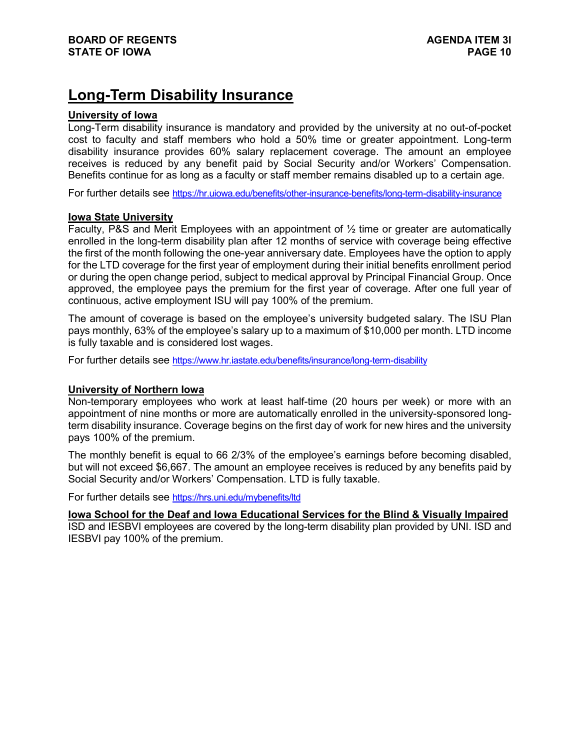## **Long-Term Disability Insurance**

#### **University of Iowa**

Long-Term disability insurance is mandatory and provided by the university at no out-of-pocket cost to faculty and staff members who hold a 50% time or greater appointment. Long-term disability insurance provides 60% salary replacement coverage. The amount an employee receives is reduced by any benefit paid by Social Security and/or Workers' Compensation. Benefits continue for as long as a faculty or staff member remains disabled up to a certain age.

For further details see<https://hr.uiowa.edu/benefits/other-insurance-benefits/long-term-disability-insurance>

#### **Iowa State University**

Faculty, P&S and Merit Employees with an appointment of ½ time or greater are automatically enrolled in the long-term disability plan after 12 months of service with coverage being effective the first of the month following the one-year anniversary date. Employees have the option to apply for the LTD coverage for the first year of employment during their initial benefits enrollment period or during the open change period, subject to medical approval by Principal Financial Group. Once approved, the employee pays the premium for the first year of coverage. After one full year of continuous, active employment ISU will pay 100% of the premium.

The amount of coverage is based on the employee's university budgeted salary. The ISU Plan pays monthly, 63% of the employee's salary up to a maximum of \$10,000 per month. LTD income is fully taxable and is considered lost wages.

For further details see<https://www.hr.iastate.edu/benefits/insurance/long-term-disability>

#### **University of Northern Iowa**

Non-temporary employees who work at least half-time (20 hours per week) or more with an appointment of nine months or more are automatically enrolled in the university-sponsored longterm disability insurance. Coverage begins on the first day of work for new hires and the university pays 100% of the premium.

The monthly benefit is equal to 66 2/3% of the employee's earnings before becoming disabled, but will not exceed \$6,667. The amount an employee receives is reduced by any benefits paid by Social Security and/or Workers' Compensation. LTD is fully taxable.

For further details see<https://hrs.uni.edu/mybenefits/ltd>

**Iowa School for the Deaf and Iowa Educational Services for the Blind & Visually Impaired**

ISD and IESBVI employees are covered by the long-term disability plan provided by UNI. ISD and IESBVI pay 100% of the premium.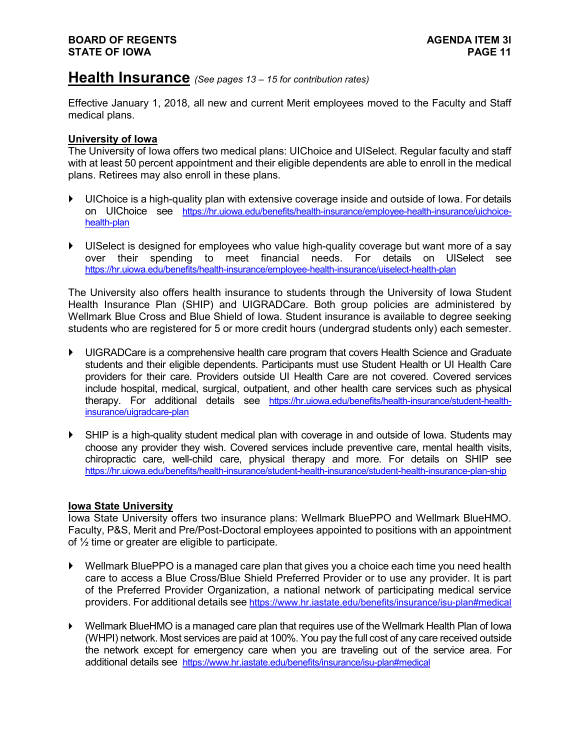### **Health Insurance** *(See pages 13 – <sup>15</sup> for contribution rates)*

Effective January 1, 2018, all new and current Merit employees moved to the Faculty and Staff medical plans.

#### **University of Iowa**

The University of Iowa offers two medical plans: UIChoice and UISelect. Regular faculty and staff with at least 50 percent appointment and their eligible dependents are able to enroll in the medical plans. Retirees may also enroll in these plans.

- UIChoice is a high-quality plan with extensive coverage inside and outside of Iowa. For details on UIChoice see [https://hr.uiowa.edu/benefits/health-insurance/employee-health-insurance/uichoice](https://hr.uiowa.edu/benefits/health-insurance/employee-health-insurance/uichoice-health-plan)[health-plan](https://hr.uiowa.edu/benefits/health-insurance/employee-health-insurance/uichoice-health-plan)
- UISelect is designed for employees who value high-quality coverage but want more of a say over their spending to meet financial needs. For details on UISelect see <https://hr.uiowa.edu/benefits/health-insurance/employee-health-insurance/uiselect-health-plan>

The University also offers health insurance to students through the University of Iowa Student Health Insurance Plan (SHIP) and UIGRADCare. Both group policies are administered by Wellmark Blue Cross and Blue Shield of Iowa. Student insurance is available to degree seeking students who are registered for 5 or more credit hours (undergrad students only) each semester.

- UIGRADCare is a comprehensive health care program that covers Health Science and Graduate students and their eligible dependents. Participants must use Student Health or UI Health Care providers for their care. Providers outside UI Health Care are not covered. Covered services include hospital, medical, surgical, outpatient, and other health care services such as physical therapy. For additional details see [https://hr.uiowa.edu/benefits/health-insurance/student-health](https://hr.uiowa.edu/benefits/health-insurance/student-health-insurance/uigradcare-plan)[insurance/uigradcare-plan](https://hr.uiowa.edu/benefits/health-insurance/student-health-insurance/uigradcare-plan)
- SHIP is a high-quality student medical plan with coverage in and outside of Iowa. Students may choose any provider they wish. Covered services include preventive care, mental health visits, chiropractic care, well-child care, physical therapy and more. For details on SHIP see <https://hr.uiowa.edu/benefits/health-insurance/student-health-insurance/student-health-insurance-plan-ship>

#### **Iowa State University**

Iowa State University offers two insurance plans: Wellmark BluePPO and Wellmark BlueHMO. Faculty, P&S, Merit and Pre/Post-Doctoral employees appointed to positions with an appointment of ½ time or greater are eligible to participate.

- Wellmark BluePPO is a managed care plan that gives you a choice each time you need health care to access a Blue Cross/Blue Shield Preferred Provider or to use any provider. It is part of the Preferred Provider Organization, a national network of participating medical service providers. For additional details see<https://www.hr.iastate.edu/benefits/insurance/isu-plan#medical>
- Wellmark BlueHMO is a managed care plan that requires use of the Wellmark Health Plan of Iowa (WHPI) network. Most services are paid at 100%. You pay the full cost of any care received outside the network except for emergency care when you are traveling out of the service area. For additional details see <https://www.hr.iastate.edu/benefits/insurance/isu-plan#medical>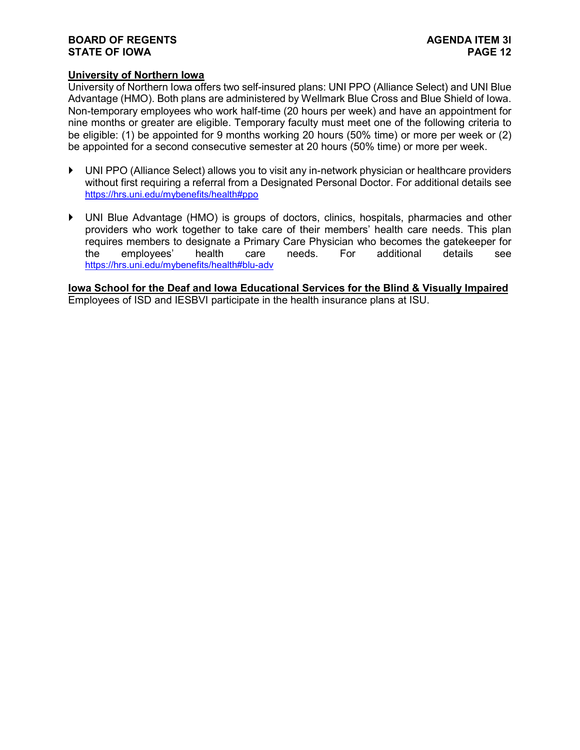#### **BOARD OF REGENTS**<br> **BOARD OF REGENTS**<br> **BOARD OF IOWA**<br>
PAGE 12 **STATE OF IOWA**

#### **University of Northern Iowa**

University of Northern Iowa offers two self-insured plans: UNI PPO (Alliance Select) and UNI Blue Advantage (HMO). Both plans are administered by Wellmark Blue Cross and Blue Shield of Iowa. Non-temporary employees who work half-time (20 hours per week) and have an appointment for nine months or greater are eligible. Temporary faculty must meet one of the following criteria to be eligible: (1) be appointed for 9 months working 20 hours (50% time) or more per week or (2) be appointed for a second consecutive semester at 20 hours (50% time) or more per week.

- UNI PPO (Alliance Select) allows you to visit any in-network physician or healthcare providers without first requiring a referral from a Designated Personal Doctor. For additional details see <https://hrs.uni.edu/mybenefits/health#ppo>
- UNI Blue Advantage (HMO) is groups of doctors, clinics, hospitals, pharmacies and other providers who work together to take care of their members' health care needs. This plan requires members to designate a Primary Care Physician who becomes the gatekeeper for the employees' health care needs. For additional details see <https://hrs.uni.edu/mybenefits/health#blu-adv>

**Iowa School for the Deaf and Iowa Educational Services for the Blind & Visually Impaired** Employees of ISD and IESBVI participate in the health insurance plans at ISU.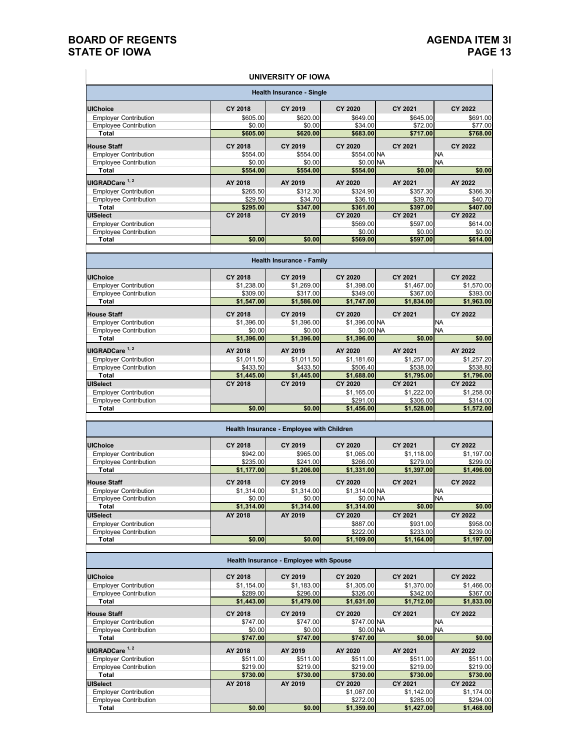#### **BOARD OF REGENTS**<br> **BOARD OF REGENTS**<br> **BOARD OF IOWA**<br> **PAGE 13 STATE OF IOWA**

 $\pm$ 

 $\overline{\phantom{a}}$ 

#### **UNIVERSITY OF IOWA**

| <b>Health Insurance - Single</b> |                                  |          |                |          |                |  |  |  |  |
|----------------------------------|----------------------------------|----------|----------------|----------|----------------|--|--|--|--|
| <b>UIChoice</b>                  | <b>CY 2018</b>                   | CY 2019  | CY 2020        | CY 2021  | <b>CY 2022</b> |  |  |  |  |
| <b>Employer Contribution</b>     | \$605.00                         | \$620.00 | \$649.00       | \$645.00 | \$691.00       |  |  |  |  |
| <b>Employee Contribution</b>     | \$0.00                           | \$0.00   | \$34.00        | \$72.00  | \$77.00        |  |  |  |  |
| Total                            | \$605.00                         | \$620.00 | \$683.00       | \$717.00 | \$768.00       |  |  |  |  |
| <b>House Staff</b>               | <b>CY 2018</b>                   | CY 2019  | CY 2020        | CY 2021  | <b>CY 2022</b> |  |  |  |  |
| <b>Employer Contribution</b>     | \$554.00                         | \$554.00 | \$554.00 NA    |          | <b>NA</b>      |  |  |  |  |
| <b>Employee Contribution</b>     | \$0.00                           | \$0.00   | \$0.00 NA      |          | <b>NA</b>      |  |  |  |  |
| Total                            | \$554.00                         | \$554.00 | \$554.00       | \$0.00   | \$0.00         |  |  |  |  |
| UIGRADCare <sup>1, 2</sup>       | AY 2018                          | AY 2019  | AY 2020        | AY 2021  | AY 2022        |  |  |  |  |
| <b>Employer Contribution</b>     | \$265.50                         | \$312.30 | \$324.90       | \$357.30 | \$366.30       |  |  |  |  |
| <b>Employee Contribution</b>     | \$29.50                          | \$34.70  | \$36.10        | \$39.70  | \$40.70        |  |  |  |  |
| Total                            | \$295.00                         | \$347.00 | \$361.00       | \$397.00 | \$407.00       |  |  |  |  |
| <b>UISelect</b>                  | <b>CY 2018</b>                   | CY 2019  | <b>CY 2020</b> | CY 2021  | <b>CY 2022</b> |  |  |  |  |
| <b>Employer Contribution</b>     |                                  |          | \$569.00       | \$597.00 | \$614.00       |  |  |  |  |
| <b>Employee Contribution</b>     |                                  |          | \$0.00         | \$0.00   | \$0.00         |  |  |  |  |
| Total                            | \$0.00                           | \$0.00   | \$569.00       | \$597.00 | \$614.00       |  |  |  |  |
|                                  |                                  |          |                |          |                |  |  |  |  |
|                                  | <b>Health Insurance - Family</b> |          |                |          |                |  |  |  |  |
| <b>IllChoice</b>                 | CV 2019                          | CV 2010  | CV 2020        | CV 2024  | CV 2022        |  |  |  |  |

| <b>UIChoice</b>              | <b>CY 2018</b> | CY 2019    | CY 2020       | CY 2021    | CY 2022    |
|------------------------------|----------------|------------|---------------|------------|------------|
| <b>Employer Contribution</b> | \$1,238.00     | \$1,269.00 | \$1,398.00    | \$1,467.00 | \$1,570.00 |
| <b>Employee Contribution</b> | \$309.00       | \$317.00   | \$349.00      | \$367.00   | \$393.00   |
| Total                        | \$1,547.00     | \$1,586.00 | \$1,747.00    | \$1,834.00 | \$1,963.00 |
| <b>House Staff</b>           | CY 2018        | CY 2019    | CY 2020       | CY 2021    | CY 2022    |
| <b>Employer Contribution</b> | \$1,396.00     | \$1,396.00 | \$1,396.00 NA |            | <b>NA</b>  |
| <b>Employee Contribution</b> | \$0.00         | \$0.00     | \$0.00 NA     |            | <b>NA</b>  |
| Total                        | \$1,396.00     | \$1,396.00 | \$1,396.00    | \$0.00     | \$0.00     |
| UIGRADCare <sup>1, 2</sup>   | AY 2018        | AY 2019    | AY 2020       | AY 2021    | AY 2022    |
| <b>Employer Contribution</b> | \$1,011.50     | \$1,011.50 | \$1,181.60    | \$1,257.00 | \$1,257.20 |
| <b>Employee Contribution</b> | \$433.50       | \$433.50   | \$506.40      | \$538.00   | \$538.80   |
| Total                        | \$1,445.00     | \$1,445.00 | \$1,688.00    | \$1,795.00 | \$1,796.00 |
| <b>UISelect</b>              | <b>CY 2018</b> | CY 2019    | CY 2020       | CY 2021    | CY 2022    |
| <b>Employer Contribution</b> |                |            | \$1,165.00    | \$1,222.00 | \$1,258.00 |
| <b>Employee Contribution</b> |                |            | \$291.00      | \$306.00   | \$314.00   |
| Total                        | \$0.00         | \$0.00     | \$1,456.00    | \$1,528.00 | \$1,572.00 |
|                              |                |            |               |            |            |

| Health Insurance - Employee with Children |                |            |               |            |            |  |  |  |  |
|-------------------------------------------|----------------|------------|---------------|------------|------------|--|--|--|--|
| <b>UIChoice</b>                           | <b>CY 2018</b> | CY 2019    | CY 2020       | CY 2021    | CY 2022    |  |  |  |  |
| <b>Emplover Contribution</b>              | \$942.00       | \$965.00   | \$1,065.00    | \$1,118.00 | \$1,197.00 |  |  |  |  |
| <b>Employee Contribution</b>              | \$235.00       | \$241.00   | \$266,00      | \$279.00   | \$299.00   |  |  |  |  |
| Total                                     | \$1,177.00     | \$1,206.00 | \$1,331.00    | \$1,397.00 | \$1,496.00 |  |  |  |  |
| <b>House Staff</b>                        | <b>CY 2018</b> | CY 2019    | CY 2020       | CY 2021    | CY 2022    |  |  |  |  |
| <b>Employer Contribution</b>              | \$1,314.00     | \$1,314.00 | \$1.314,00 NA |            | <b>NA</b>  |  |  |  |  |
| <b>Employee Contribution</b>              | \$0.00         | \$0.00     | \$0.00 NA     |            | <b>INA</b> |  |  |  |  |
| Total                                     | \$1,314.00     | \$1,314.00 | \$1,314.00    | \$0.00     | \$0.00     |  |  |  |  |
| <b>UISelect</b>                           | AY 2018        | AY 2019    | CY 2020       | CY 2021    | CY 2022    |  |  |  |  |
| <b>Employer Contribution</b>              |                |            | \$887,00      | \$931.00   | \$958.00   |  |  |  |  |
| <b>Employee Contribution</b>              |                |            | \$222.00      | \$233.00   | \$239.00   |  |  |  |  |
| Total                                     | \$0.00         | \$0.00     | \$1,109.00    | \$1,164.00 | \$1,197.00 |  |  |  |  |

| <b>Health Insurance - Employee with Spouse</b> |                |            |                |            |            |  |  |  |  |
|------------------------------------------------|----------------|------------|----------------|------------|------------|--|--|--|--|
| <b>UIChoice</b>                                | <b>CY 2018</b> | CY 2019    | <b>CY 2020</b> | CY 2021    | CY 2022    |  |  |  |  |
| <b>Employer Contribution</b>                   | \$1,154.00     | \$1,183.00 | \$1,305.00     | \$1,370.00 | \$1,466.00 |  |  |  |  |
| <b>Employee Contribution</b>                   | \$289.00       | \$296.00   | \$326.00       | \$342.00   | \$367.00   |  |  |  |  |
| Total                                          | \$1,443.00     | \$1,479.00 | \$1,631.00     | \$1,712.00 | \$1,833.00 |  |  |  |  |
| <b>House Staff</b>                             | CY 2018        | CY 2019    | CY 2020        | CY 2021    | CY 2022    |  |  |  |  |
| <b>Employer Contribution</b>                   | \$747.00       | \$747.00   | \$747.00 NA    |            | <b>INA</b> |  |  |  |  |
| <b>Employee Contribution</b>                   | \$0.00         | \$0.00     | \$0,00 NA      |            | <b>NA</b>  |  |  |  |  |
| Total                                          | \$747.00       | \$747.00   | \$747.00       | \$0.00     | \$0.00     |  |  |  |  |
| UIGRADCare <sup>1, 2</sup>                     | AY 2018        | AY 2019    | AY 2020        | AY 2021    | AY 2022    |  |  |  |  |
| <b>Employer Contribution</b>                   | \$511.00       | \$511.00   | \$511.00       | \$511.00   | \$511.00   |  |  |  |  |
| <b>Employee Contribution</b>                   | \$219.00       | \$219.00   | \$219.00       | \$219.00   | \$219.00   |  |  |  |  |
| Total                                          | \$730.00       | \$730.00   | \$730.00       | \$730.00   | \$730.00   |  |  |  |  |
| <b>UISelect</b>                                | AY 2018        | AY 2019    | CY 2020        | CY 2021    | CY 2022    |  |  |  |  |
| <b>Employer Contribution</b>                   |                |            | \$1,087.00     | \$1,142.00 | \$1,174.00 |  |  |  |  |
| <b>Employee Contribution</b>                   |                |            | \$272,00       | \$285.00   | \$294.00   |  |  |  |  |
| Total                                          | \$0.00         | \$0.00     | \$1,359.00     | \$1,427.00 | \$1,468.00 |  |  |  |  |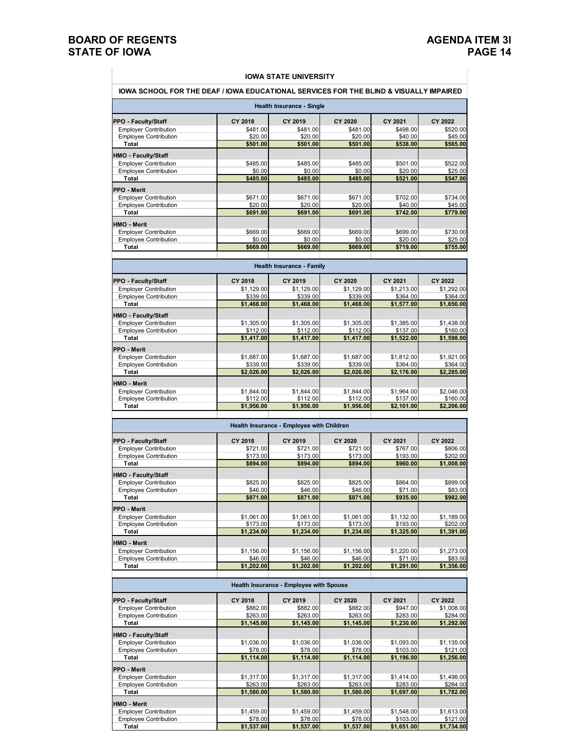#### **BOARD OF REGENTS**<br> **BOARD OF REGENTS**<br> **BOARD OF IOWA**<br>
PAGE 14 **STATE OF IOWA**

г

#### **IOWA SCHOOL FOR THE DEAF / IOWA EDUCATIONAL SERVICES FOR THE BLIND & VISUALLY IMPAIRED IOWA STATE UNIVERSITY**

|                                                              |                        | Health Insurance - Single                 |                        |                        |                        |
|--------------------------------------------------------------|------------------------|-------------------------------------------|------------------------|------------------------|------------------------|
| PPO - Faculty/Staff                                          | CY 2018                | CY 2019                                   | CY 2020                | CY 2021                | CY 2022                |
| <b>Employer Contribution</b>                                 | \$481.00               | \$481.00                                  | \$481.00               | \$498.00               | \$520.00               |
| <b>Employee Contribution</b><br>Total                        | \$20.00<br>\$501.00    | \$20.00<br>\$501.00                       | \$20.00<br>\$501.00    | \$40.00<br>\$538.00    | \$45.00<br>\$565.00    |
|                                                              |                        |                                           |                        |                        |                        |
| HMO - Faculty/Staff                                          |                        |                                           |                        |                        |                        |
| <b>Employer Contribution</b><br><b>Employee Contribution</b> | \$485.00<br>\$0.00     | \$485.00<br>\$0.00                        | \$485.00<br>\$0.00     | \$501.00<br>\$20.00    | \$522.00<br>\$25.00    |
| Total                                                        | \$485.00               | \$485.00                                  | \$485.00               | \$521.00               | \$547.00               |
|                                                              |                        |                                           |                        |                        |                        |
| PPO - Merit                                                  | \$671.00               |                                           |                        |                        | \$734.00               |
| <b>Employer Contribution</b><br><b>Employee Contribution</b> | \$20.00                | \$671.00<br>\$20.00                       | \$671.00<br>\$20.00    | \$702.00<br>\$40.00    | \$45.00                |
| Total                                                        | \$691.00               | \$691.00                                  | \$691.00               | \$742.00               | \$779.00               |
| <b>HMO - Merit</b>                                           |                        |                                           |                        |                        |                        |
| <b>Employer Contribution</b>                                 | \$669.00               | \$669.00                                  | \$669.00               | \$699.00               | \$730.00               |
| <b>Employee Contribution</b>                                 | \$0.00                 | \$0.00                                    | \$0.00                 | \$20.00                | \$25.00                |
| Total                                                        | \$669.00               | \$669.00                                  | \$669.00               | \$719.00               | \$755.00               |
|                                                              |                        |                                           |                        |                        |                        |
|                                                              |                        | <b>Health Insurance - Family</b>          |                        |                        |                        |
| <b>PPO - Faculty/Staff</b>                                   | <b>CY 2018</b>         | CY 2019                                   | CY 2020                | CY 2021                | CY 2022                |
| <b>Employer Contribution</b>                                 | \$1.129.00             | \$1,129.00                                | \$1,129.00             | \$1.213.00             | \$1,292.00             |
| <b>Employee Contribution</b><br>Total                        | \$339.00<br>\$1,468.00 | \$339.00<br>\$1.468.00                    | \$339.00<br>\$1,468.00 | \$364.00<br>\$1,577.00 | \$364.00<br>\$1.656.00 |
|                                                              |                        |                                           |                        |                        |                        |
| HMO - Faculty/Staff                                          |                        |                                           |                        |                        |                        |
| <b>Employer Contribution</b>                                 | \$1,305.00             | \$1,305.00                                | \$1,305.00             | \$1,385.00             | \$1,438.00             |
| <b>Employee Contribution</b><br>Total                        | \$112.00<br>\$1.417.00 | \$112.00<br>\$1,417.00                    | \$112.00<br>\$1.417.00 | \$137.00<br>\$1,522.00 | \$160.00<br>\$1,598.00 |
|                                                              |                        |                                           |                        |                        |                        |
| PPO - Merit                                                  |                        |                                           |                        |                        |                        |
| <b>Employer Contribution</b><br><b>Employee Contribution</b> | \$1,687.00<br>\$339.00 | \$1,687.00<br>\$339.00                    | \$1,687.00<br>\$339.00 | \$1,812.00<br>\$364.00 | \$1,921.00<br>\$364.00 |
| Total                                                        | \$2,026.00             | \$2,026.00                                | \$2,026.00             | \$2,176.00             | \$2,285.00             |
|                                                              |                        |                                           |                        |                        |                        |
| <b>HMO - Merit</b><br><b>Employer Contribution</b>           | \$1,844.00             | \$1,844.00                                | \$1,844.00             | \$1,964.00             | \$2,046.00             |
| <b>Employee Contribution</b>                                 | \$112.00               | \$112.00                                  | \$112.00               | \$137.00               | \$160.00               |
| Total                                                        | \$1,956.00             | \$1,956.00                                | \$1,956.00             | \$2,101.00             | \$2,206.00             |
|                                                              |                        |                                           |                        |                        |                        |
|                                                              |                        | Health Insurance - Employee with Children |                        |                        |                        |
| <b>PPO - Faculty/Staff</b>                                   | <b>CY 2018</b>         | CY 2019                                   | <b>CY 2020</b>         | CY 2021                | CY 2022                |
| <b>Employer Contribution</b><br><b>Employee Contribution</b> | \$721.00<br>\$173.00   | \$721.00<br>\$173.00                      | \$721.00<br>\$173.00   | \$767.00<br>\$193.00   | \$806.00<br>\$202.00   |
| Total                                                        | \$894.00               | \$894.00                                  | \$894.00               | \$960.00               | \$1,008.00             |
|                                                              |                        |                                           |                        |                        |                        |
| HMO - Faculty/Staff<br><b>Employer Contribution</b>          | \$825.00               | \$825.00                                  | \$825.00               | \$864.00               | \$899.00               |
| <b>Employee Contribution</b>                                 | \$46.00                | \$46.00                                   | \$46.00                | \$71.00                | \$83.00                |
| Total                                                        | \$871.00               | \$871.00                                  | \$871.00               | \$935.00               | \$982.00               |
| PPO - Merit                                                  |                        |                                           |                        |                        |                        |
| <b>Employer Contribution</b>                                 | \$1,061.00             | \$1,061.00                                | \$1,061.00             | \$1,132.00             | \$1,189.00             |
| <b>Employee Contribution</b>                                 | \$173.00               | \$173.00                                  | \$173.00               | \$193.00               | \$202.00               |
| Total                                                        | \$1,234.00             | \$1,234.00                                | \$1,234.00             | \$1,325.00             | \$1,391.00             |
| <b>HMO - Merit</b>                                           |                        |                                           |                        |                        |                        |
| <b>Employer Contribution</b>                                 | \$1,156.00             | \$1,156.00                                | \$1.156.00             | \$1,220.00             | \$1,273.00             |
| <b>Employee Contribution</b>                                 | \$46.00                | \$46.00                                   | \$46.00                | \$71.00                | \$83.00                |
| Total                                                        | \$1,202.00             | \$1,202.00                                | \$1,202.00             | \$1,291.00             | \$1,356.00             |
|                                                              |                        | Health Insurance - Employee with Spouse   |                        |                        |                        |
| PPO - Faculty/Staff                                          | CY 2018                | CY 2019                                   | CY 2020                | CY 2021                | CY 2022                |
| <b>Employer Contribution</b>                                 | \$882.00               | \$882.00                                  | \$882.00               | \$947.00               | \$1,008.00             |
| <b>Employee Contribution</b>                                 | \$263.00               | \$263.00                                  | \$263.00               | \$283.00               | \$284.00               |
| Total                                                        | \$1,145.00             | \$1,145.00                                | \$1,145.00             | \$1,230.00             | \$1,292.00             |
| HMO - Faculty/Staff                                          |                        |                                           |                        |                        |                        |
| <b>Employer Contribution</b>                                 | \$1,036.00             | \$1,036.00                                | \$1,036.00             | \$1,093.00             | \$1,135.00             |
| <b>Employee Contribution</b>                                 | \$78.00                | \$78.00                                   | \$78.00                | \$103.00               | \$121.00               |
| Total                                                        | \$1,114.00             | \$1,114.00                                | \$1,114.00             | \$1,196.00             | \$1,256.00             |
| PPO - Merit<br><b>Employer Contribution</b>                  | \$1,317.00             | \$1,317.00                                | \$1,317.00             | \$1,414.00             | \$1,498.00             |
| <b>Employee Contribution</b>                                 | \$263.00               | \$263.00                                  | \$263.00               | \$283.00               | \$284.00               |
| Total                                                        | \$1,580.00             | \$1,580.00                                | \$1,580.00             | \$1,697.00             | \$1,782.00             |
|                                                              |                        |                                           |                        |                        |                        |
|                                                              |                        |                                           |                        |                        |                        |
| HMO - Merit                                                  |                        |                                           |                        |                        |                        |
| <b>Employer Contribution</b><br><b>Employee Contribution</b> | \$1,459.00<br>\$78.00  | \$1,459.00<br>\$78.00                     | \$1,459.00<br>\$78.00  | \$1,548.00<br>\$103.00 | \$1,613.00<br>\$121.00 |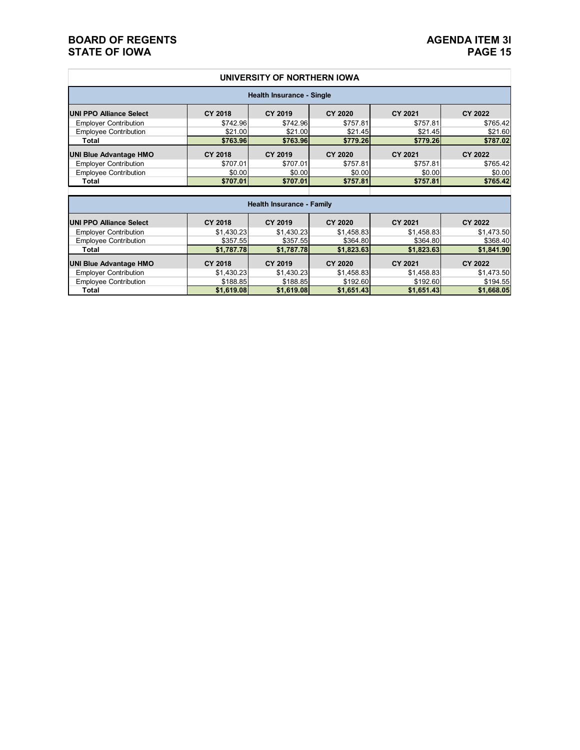#### **BOARD OF REGENTS**<br> **BOARD OF REGENTS**<br> **BOARD OF IOWA**<br>
PAGE 15 **STATE OF IOWA**

#### **UNIVERSITY OF NORTHERN IOWA**

| <b>Health Insurance - Single</b> |                |                                  |                |                |                |  |  |  |  |
|----------------------------------|----------------|----------------------------------|----------------|----------------|----------------|--|--|--|--|
| <b>UNI PPO Alliance Select</b>   | <b>CY 2018</b> | CY 2019                          | <b>CY 2020</b> | CY 2021        | CY 2022        |  |  |  |  |
| <b>Employer Contribution</b>     | \$742.96       | \$742.96                         | \$757.81       | \$757.81       | \$765.42       |  |  |  |  |
| <b>Employee Contribution</b>     | \$21.00        | \$21.00                          | \$21.45        | \$21.45        | \$21.60        |  |  |  |  |
| Total                            | \$763.96       | \$763.96                         | \$779.26       | \$779.26       | \$787.02       |  |  |  |  |
| <b>UNI Blue Advantage HMO</b>    | <b>CY 2018</b> | CY 2019                          | <b>CY 2020</b> | <b>CY 2021</b> | CY 2022        |  |  |  |  |
| <b>Employer Contribution</b>     | \$707.01       | \$707.01                         | \$757.81       | \$757.81       | \$765.42       |  |  |  |  |
| <b>Employee Contribution</b>     | \$0.00         | \$0.00                           | \$0.00         | \$0.00         | \$0.00         |  |  |  |  |
| Total                            | \$707.01       | \$707.01                         | \$757.81       | \$757.81       | \$765.42       |  |  |  |  |
|                                  |                |                                  |                |                |                |  |  |  |  |
|                                  |                | <b>Health Insurance - Family</b> |                |                |                |  |  |  |  |
| <b>UNI PPO Alliance Select</b>   | <b>CY 2018</b> | CY 2019                          | <b>CY 2020</b> | <b>CY 2021</b> | CY 2022        |  |  |  |  |
| <b>Employer Contribution</b>     | \$1,430.23     | \$1,430.23                       | \$1,458.83     | \$1,458.83     | \$1,473.50     |  |  |  |  |
| <b>Employee Contribution</b>     | \$357.55       | \$357.55                         | \$364.80       | \$364.80       | \$368.40       |  |  |  |  |
| Total                            | \$1,787.78     | \$1,787.78                       | \$1,823.63     | \$1,823.63     | \$1,841.90     |  |  |  |  |
| <b>UNI Blue Advantage HMO</b>    | <b>CY 2018</b> | <b>CY 2019</b>                   | <b>CY 2020</b> | <b>CY 2021</b> | <b>CY 2022</b> |  |  |  |  |
| <b>Employer Contribution</b>     | \$1,430.23     | \$1,430.23                       | \$1,458.83     | \$1,458.83     | \$1,473.50     |  |  |  |  |
| <b>Employee Contribution</b>     | \$188.85       | \$188.85                         | \$192.60       | \$192.60       | \$194.55       |  |  |  |  |
| Total                            | \$1,619.08     | \$1,619.08                       | \$1,651.43     | \$1,651.43     | \$1,668.05     |  |  |  |  |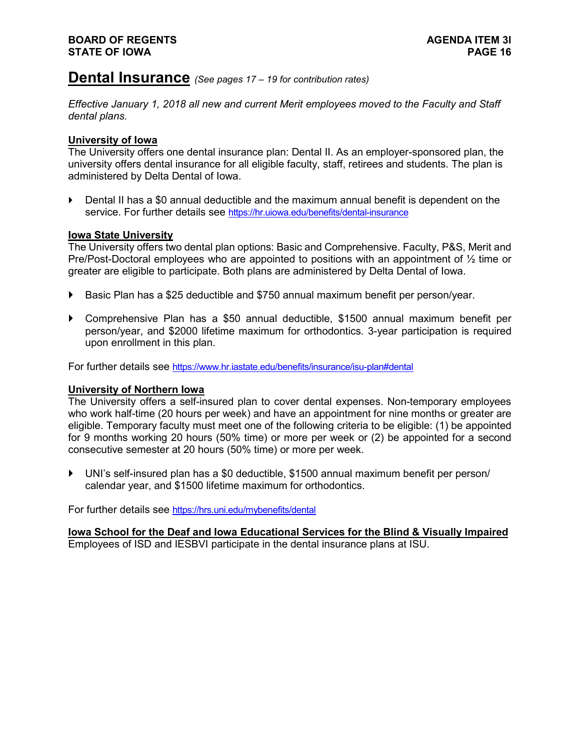### **Dental Insurance** *(See pages 17 – <sup>19</sup> for contribution rates)*

*Effective January 1, 2018 all new and current Merit employees moved to the Faculty and Staff dental plans.* 

#### **University of Iowa**

The University offers one dental insurance plan: Dental II. As an employer-sponsored plan, the university offers dental insurance for all eligible faculty, staff, retirees and students. The plan is administered by Delta Dental of Iowa.

 Dental II has a \$0 annual deductible and the maximum annual benefit is dependent on the service. For further details see<https://hr.uiowa.edu/benefits/dental-insurance>

#### **Iowa State University**

The University offers two dental plan options: Basic and Comprehensive. Faculty, P&S, Merit and Pre/Post-Doctoral employees who are appointed to positions with an appointment of ½ time or greater are eligible to participate. Both plans are administered by Delta Dental of Iowa.

- ▶ Basic Plan has a \$25 deductible and \$750 annual maximum benefit per person/year.
- Comprehensive Plan has a \$50 annual deductible, \$1500 annual maximum benefit per person/year, and \$2000 lifetime maximum for orthodontics. 3-year participation is required upon enrollment in this plan.

For further details see<https://www.hr.iastate.edu/benefits/insurance/isu-plan#dental>

#### **University of Northern Iowa**

The University offers a self-insured plan to cover dental expenses. Non-temporary employees who work half-time (20 hours per week) and have an appointment for nine months or greater are eligible. Temporary faculty must meet one of the following criteria to be eligible: (1) be appointed for 9 months working 20 hours (50% time) or more per week or (2) be appointed for a second consecutive semester at 20 hours (50% time) or more per week.

 UNI's self-insured plan has a \$0 deductible, \$1500 annual maximum benefit per person/ calendar year, and \$1500 lifetime maximum for orthodontics.

For further details see<https://hrs.uni.edu/mybenefits/dental>

**Iowa School for the Deaf and Iowa Educational Services for the Blind & Visually Impaired** Employees of ISD and IESBVI participate in the dental insurance plans at ISU.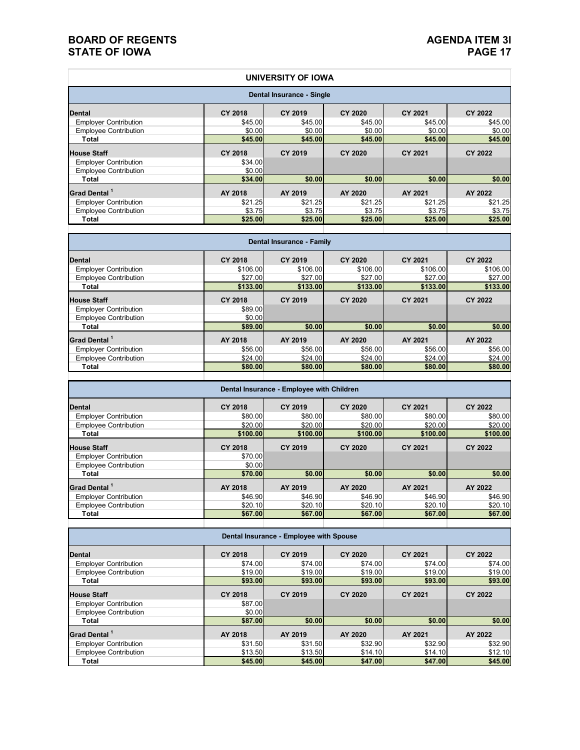#### **BOARD OF REGENTS**<br> **BOARD OF REGENTS**<br> **BOARD OF IOWA**<br>
PAGE 17 **STATE OF IOWA**

|                                                              |                     | UNIVERSITY OF IOWA                        |                     |                     |                     |
|--------------------------------------------------------------|---------------------|-------------------------------------------|---------------------|---------------------|---------------------|
|                                                              |                     | Dental Insurance - Single                 |                     |                     |                     |
| <b>Dental</b>                                                | <b>CY 2018</b>      | <b>CY 2019</b>                            | <b>CY 2020</b>      | <b>CY 2021</b>      | <b>CY 2022</b>      |
| <b>Employer Contribution</b>                                 | \$45.00             | \$45.00                                   | \$45.00             | \$45.00             | \$45.00             |
| <b>Employee Contribution</b>                                 | \$0.00              | \$0.00                                    | \$0.00              | \$0.00              | \$0.00              |
| Total                                                        | \$45.00             | \$45.00                                   | \$45.00             | \$45.00             | \$45.00             |
| <b>House Staff</b>                                           | <b>CY 2018</b>      | <b>CY 2019</b>                            | <b>CY 2020</b>      | <b>CY 2021</b>      | <b>CY 2022</b>      |
| <b>Employer Contribution</b>                                 | \$34.00             |                                           |                     |                     |                     |
| <b>Employee Contribution</b>                                 | \$0.00              |                                           |                     |                     |                     |
| <b>Total</b>                                                 | \$34.00             | \$0.00                                    | \$0.00              | \$0.00              | \$0.00              |
| Grad Dental <sup>1</sup>                                     | AY 2018             | AY 2019                                   | AY 2020             | AY 2021             | AY 2022             |
| <b>Employer Contribution</b>                                 | \$21.25             | \$21.25                                   | \$21.25             | \$21.25             | \$21.25             |
| <b>Employee Contribution</b>                                 | \$3.75              | \$3.75                                    | \$3.75              | \$3.75              | \$3.75              |
| <b>Total</b>                                                 | \$25.00             | \$25.00                                   | \$25.00             | \$25.00             | \$25.00             |
|                                                              |                     | Dental Insurance - Family                 |                     |                     |                     |
|                                                              |                     |                                           |                     |                     |                     |
| <b>Dental</b>                                                | <b>CY 2018</b>      | CY 2019                                   | <b>CY 2020</b>      | <b>CY 2021</b>      | <b>CY 2022</b>      |
| <b>Employer Contribution</b><br><b>Employee Contribution</b> | \$106.00<br>\$27.00 | \$106.00                                  | \$106.00            | \$106.00<br>\$27.00 | \$106.00            |
| <b>Total</b>                                                 | \$133.00            | \$27.00<br>\$133.00                       | \$27.00<br>\$133.00 | \$133.00            | \$27.00<br>\$133.00 |
|                                                              |                     |                                           |                     |                     |                     |
| <b>House Staff</b>                                           | <b>CY 2018</b>      | CY 2019                                   | <b>CY 2020</b>      | <b>CY 2021</b>      | <b>CY 2022</b>      |
| <b>Employer Contribution</b>                                 | \$89.00             |                                           |                     |                     |                     |
| <b>Employee Contribution</b><br><b>Total</b>                 | \$0.00<br>\$89.00   | \$0.00                                    | \$0.00              | \$0.00              | \$0.00              |
| Grad Dental <sup>1</sup>                                     | AY 2018             | AY 2019                                   | AY 2020             | AY 2021             | AY 2022             |
| <b>Employer Contribution</b>                                 | \$56.00             | \$56.00                                   | \$56.00             | \$56.00             | \$56.00             |
| <b>Employee Contribution</b>                                 | \$24.00             | \$24.00                                   | \$24.00             | \$24.00             | \$24.00             |
| Total                                                        | \$80.00             | \$80.00                                   | \$80.00             | \$80.00             | \$80.00             |
|                                                              |                     |                                           |                     |                     |                     |
|                                                              |                     | Dental Insurance - Employee with Children |                     |                     |                     |
| <b>Dental</b>                                                | <b>CY 2018</b>      | <b>CY 2019</b>                            | <b>CY 2020</b>      | <b>CY 2021</b>      | <b>CY 2022</b>      |
| <b>Employer Contribution</b>                                 | \$80.00             | \$80.00                                   | \$80.00             | \$80.00             | \$80.00             |
| <b>Employee Contribution</b><br><b>Total</b>                 | \$20.00<br>\$100.00 | \$20.00                                   | \$20.00<br>\$100.00 | \$20.00<br>\$100.00 | \$20.00<br>\$100.00 |
|                                                              |                     | \$100.00                                  |                     |                     |                     |
| <b>House Staff</b>                                           | <b>CY 2018</b>      | CY 2019                                   | <b>CY 2020</b>      | <b>CY 2021</b>      | <b>CY 2022</b>      |
| <b>Employer Contribution</b>                                 | \$70.00             |                                           |                     |                     |                     |
| <b>Employee Contribution</b>                                 | \$0.00              |                                           |                     |                     |                     |
| <b>Total</b>                                                 | \$70.00             | \$0.00                                    | \$0.00              | \$0.00              | \$0.00              |
| Grad Dental <sup>1</sup>                                     | AY 2018             | AY 2019                                   | AY 2020             | AY 2021             | AY 2022             |
| <b>Employer Contribution</b>                                 | \$46.90             | \$46.90                                   | \$46.90             | \$46.90             | \$46.90             |
| <b>Employee Contribution</b>                                 | \$20.10             | \$20.10                                   | \$20.10             | \$20.10             | \$20.10             |
| <b>Total</b>                                                 | \$67.00             | \$67.00                                   | \$67.00             | \$67.00             | \$67.00             |
|                                                              |                     | Dental Insurance - Employee with Spouse   |                     |                     |                     |
| <b>Dental</b>                                                | <b>CY 2018</b>      | CY 2019                                   | <b>CY 2020</b>      | <b>CY 2021</b>      | <b>CY 2022</b>      |
| <b>Employer Contribution</b>                                 | \$74.00             | \$74.00                                   | \$74.00             | \$74.00             | \$74.00             |
| <b>Employee Contribution</b>                                 | \$19.00             | \$19.00                                   | \$19.00             | \$19.00             | \$19.00             |
| Total                                                        | \$93.00             | \$93.00                                   | \$93.00             | \$93.00             | \$93.00             |
| <b>House Staff</b>                                           | <b>CY 2018</b>      | CY 2019                                   | CY 2020             | <b>CY 2021</b>      | <b>CY 2022</b>      |
| <b>Employer Contribution</b>                                 | \$87.00             |                                           |                     |                     |                     |
| <b>Employee Contribution</b>                                 | \$0.00              |                                           |                     |                     |                     |
| <b>Total</b>                                                 | \$87.00             | \$0.00                                    | \$0.00              | \$0.00              | \$0.00              |
| Grad Dental <sup>1</sup>                                     | AY 2018             | AY 2019                                   | AY 2020             | AY 2021             | AY 2022             |
| <b>Employer Contribution</b>                                 | \$31.50             | \$31.50                                   | \$32.90             | \$32.90             | \$32.90             |
| <b>Employee Contribution</b>                                 | \$13.50             | \$13.50                                   | \$14.10             | \$14.10             | \$12.10             |
| Total                                                        | \$45.00             | \$45.00                                   | \$47.00             | \$47.00             | \$45.00             |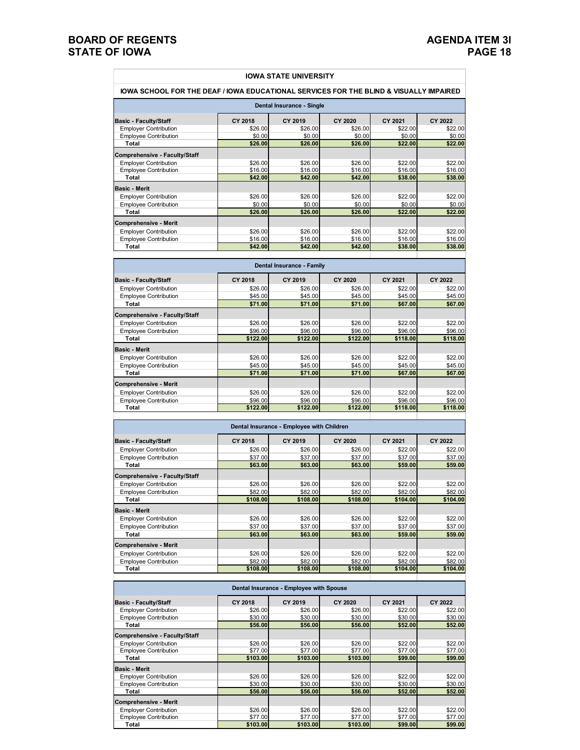#### **BOARD OF REGENTS**<br> **BOARD OF REGENTS**<br> **BOARD OF IOWA**<br> **PAGE 18 STATE OF IOWA**

| <u>IOWA SCHOOL FOR THE DEAF / IOWA EDUCATIONAL SERVICES FOR THE BLIND &amp; VISUALLY IMPAIRED</u> |                           | <b>IOWA STATE UNIVERSITY</b>              |                           |                     |                     |
|---------------------------------------------------------------------------------------------------|---------------------------|-------------------------------------------|---------------------------|---------------------|---------------------|
|                                                                                                   |                           | Dental Insurance - Single                 |                           |                     |                     |
| <b>Basic - Faculty/Staff</b>                                                                      | CY 2018                   | CY 2019                                   | CY 2020                   | CY 2021             | CY 2022             |
| <b>Employer Contribution</b>                                                                      | \$26.00                   | \$26.00                                   | \$26.00                   | \$22.00             | \$22.00             |
| <b>Employee Contribution</b>                                                                      | \$0.00                    | \$0.00                                    | \$0.00                    | \$0.00              | \$0.00              |
| Total                                                                                             | \$26.00                   | \$26.00                                   | \$26.00                   | \$22.00             | \$22.00             |
| Comprehensive - Faculty/Staff                                                                     |                           |                                           |                           |                     |                     |
| <b>Employer Contribution</b>                                                                      | \$26.00                   | \$26.00                                   | \$26.00                   | \$22.00             | \$22.00             |
| <b>Employee Contribution</b>                                                                      | \$16.00                   | \$16.00                                   | \$16.00                   | \$16.00             | \$16.00             |
| Total                                                                                             | \$42.00                   | \$42.00                                   | \$42.00                   | \$38.00             | \$38.00             |
| <b>Basic - Merit</b>                                                                              |                           |                                           |                           |                     |                     |
| <b>Employer Contribution</b>                                                                      | \$26.00                   | \$26.00                                   | \$26.00                   | \$22.00             | \$22.00             |
| <b>Employee Contribution</b><br>Total                                                             | \$0.00<br>\$26.00         | \$0.00<br>\$26.00                         | \$0.00<br>\$26.00         | \$0.00<br>\$22.00   | \$0.00<br>\$22.00   |
|                                                                                                   |                           |                                           |                           |                     |                     |
| <b>Comprehensive - Merit</b>                                                                      |                           |                                           |                           |                     |                     |
| <b>Employer Contribution</b>                                                                      | \$26.00                   | \$26.00                                   | \$26.00                   | \$22.00             | \$22.00             |
| <b>Employee Contribution</b><br>Total                                                             | \$16.00<br>\$42.00        | \$16.00<br>\$42.00                        | \$16.00<br>\$42.00        | \$16.00<br>\$38.00  | \$16.00<br>\$38.00  |
|                                                                                                   |                           |                                           |                           |                     |                     |
|                                                                                                   |                           | Dental Insurance - Family                 |                           |                     |                     |
|                                                                                                   |                           |                                           |                           | CY 2021             |                     |
| <b>Basic - Faculty/Staff</b><br><b>Employer Contribution</b>                                      | <b>CY 2018</b><br>\$26.00 | CY 2019<br>\$26.00                        | <b>CY 2020</b><br>\$26.00 | \$22.00             | CY 2022<br>\$22.00  |
| <b>Employee Contribution</b>                                                                      | \$45.00                   | \$45.00                                   | \$45.00                   | \$45.00             | \$45.00             |
| Total                                                                                             | \$71.00                   | \$71.00                                   | \$71.00                   | \$67.00             | \$67.00             |
|                                                                                                   |                           |                                           |                           |                     |                     |
| Comprehensive - Faculty/Staff                                                                     | \$26.00                   | \$26.00                                   | \$26.00                   | \$22.00             | \$22.00             |
| <b>Employer Contribution</b><br><b>Employee Contribution</b>                                      | \$96.00                   | \$96.00                                   | \$96.00                   | \$96.00             | \$96.00             |
| Total                                                                                             | \$122.00                  | \$122.00                                  | \$122.00                  | \$118.00            | \$118.00            |
|                                                                                                   |                           |                                           |                           |                     |                     |
| <b>Basic - Merit</b>                                                                              |                           |                                           |                           |                     |                     |
| <b>Employer Contribution</b><br><b>Employee Contribution</b>                                      | \$26.00<br>\$45.00        | \$26.00<br>\$45.00                        | \$26.00<br>\$45.00        | \$22.00<br>\$45.00  | \$22.00<br>\$45.00  |
| Total                                                                                             | \$71.00                   | \$71.00                                   | \$71.00                   | \$67.00             | \$67.00             |
|                                                                                                   |                           |                                           |                           |                     |                     |
| <b>Comprehensive - Merit</b><br><b>Employer Contribution</b>                                      | \$26.00                   | \$26.00                                   | \$26.00                   | \$22.00             | \$22.00             |
| <b>Employee Contribution</b>                                                                      | \$96.00                   | \$96.00                                   | \$96.00                   | \$96.00             | \$96.00             |
| Total                                                                                             | \$122.00                  | \$122.00                                  | \$122.00                  | \$118.00            | \$118.00            |
|                                                                                                   |                           |                                           |                           |                     |                     |
|                                                                                                   |                           | Dental Insurance - Employee with Children |                           |                     |                     |
| <b>Basic - Faculty/Staff</b>                                                                      | CY 2018                   | CY 2019                                   | <b>CY 2020</b>            | CY 2021             | CY 2022             |
| <b>Employer Contribution</b>                                                                      | \$26.00                   | \$26.00                                   | \$26.00                   | \$22.00             | \$22.00             |
| <b>Employee Contribution</b>                                                                      | \$37.00                   | \$37.00                                   | \$37.00                   | \$37.00             | \$37.00             |
| Total                                                                                             | \$63.00                   | \$63.00                                   | \$63.00                   | \$59.00             | \$59.00             |
| Comprehensive - Faculty/Staff                                                                     |                           |                                           |                           |                     |                     |
| <b>Employer Contribution</b>                                                                      | \$26.00                   | \$26.00                                   | \$26.00                   | \$22.00             | \$22.00             |
| <b>Employee Contribution</b>                                                                      | \$82.00                   | \$82.00                                   | \$82.00                   | \$82.00             | \$82.00             |
| Total                                                                                             | \$108.00                  | \$108.00                                  | \$108.00                  | \$104.00            | \$104.00            |
| <b>Basic - Merit</b>                                                                              |                           |                                           |                           |                     |                     |
| <b>Employer Contribution</b>                                                                      | \$26.00                   | \$26.00                                   | \$26.00                   | \$22.00             | \$22.00             |
| <b>Employee Contribution</b>                                                                      | \$37.00                   | \$37.00                                   | \$37.00                   | \$37.00             | \$37.00             |
| Total                                                                                             | \$63.00                   | \$63.00                                   | \$63.00                   | \$59.00             | \$59.00             |
| <b>Comprehensive - Merit</b>                                                                      |                           |                                           |                           |                     |                     |
| <b>Employer Contribution</b>                                                                      | \$26.00                   | \$26.00                                   | \$26.00                   | \$22.00             | \$22.00             |
| <b>Employee Contribution</b><br>Total                                                             | \$82.00<br>\$108.00       | \$82.00<br>\$108.00                       | \$82.00                   | \$82.00<br>\$104.00 | \$82.00<br>\$104.00 |
|                                                                                                   |                           |                                           | \$108.00                  |                     |                     |
|                                                                                                   |                           | Dental Insurance - Employee with Spouse   |                           |                     |                     |
| <b>Basic - Faculty/Staff</b>                                                                      | CY 2018                   | CY 2019                                   | <b>CY 2020</b>            | CY 2021             | CY 2022             |
| <b>Employer Contribution</b>                                                                      | \$26.00                   | \$26.00                                   | \$26.00                   | \$22.00             | \$22.00             |
| <b>Employee Contribution</b>                                                                      | \$30.00                   | \$30.00                                   | \$30.00                   | \$30.00             | \$30.00             |
| Total                                                                                             | \$56.00                   | \$56.00                                   | \$56.00                   | \$52.00             | \$52.00             |
| Comprehensive - Faculty/Staff                                                                     |                           |                                           |                           |                     |                     |
| <b>Employer Contribution</b>                                                                      | \$26.00                   | \$26.00                                   | \$26.00                   | \$22.00             | \$22.00             |
| <b>Employee Contribution</b>                                                                      | \$77.00                   | \$77.00                                   | \$77.00                   | \$77.00             | \$77.00             |
| Total                                                                                             | \$103.00                  | \$103.00                                  | \$103.00                  | \$99.00             | \$99.00             |
| <b>Basic - Merit</b>                                                                              |                           |                                           |                           |                     |                     |
| <b>Employer Contribution</b>                                                                      | \$26.00                   | \$26.00                                   | \$26.00                   | \$22.00             | \$22.00             |
| <b>Employee Contribution</b>                                                                      | \$30.00                   | \$30.00                                   | \$30.00                   | \$30.00             | \$30.00             |
| Total                                                                                             | \$56.00                   | \$56.00                                   | \$56.00                   | \$52.00             | \$52.00             |

**Comprehensive - Merit** Employer Contribution \$26.00 \$26.00 \$26.00 \$22.00 \$22.00 Employee Contribution \$77.00 \$77.00 \$77.00 \$77.00 \$77.00 **Total \$103.00 \$103.00 \$103.00 \$99.00 \$99.00**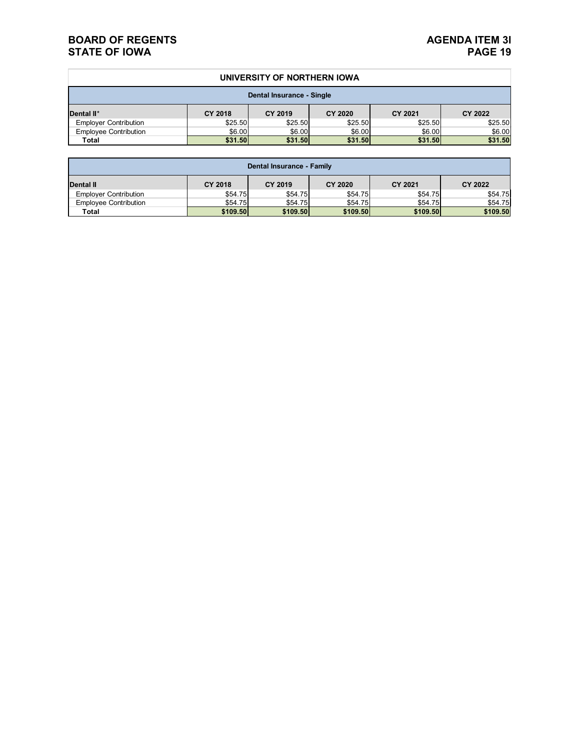#### **BOARD OF REGENTS**<br> **BOARD OF REGENTS**<br> **BOARD OF IOWA**<br>
PAGE 19 **STATE OF IOWA**

#### **UNIVERSITY OF NORTHERN IOWA**

| Dental Insurance - Single    |                |         |                |         |         |  |  |  |
|------------------------------|----------------|---------|----------------|---------|---------|--|--|--|
| Dental II*                   | <b>CY 2018</b> | CY 2019 | <b>CY 2020</b> | CY 2021 | CY 2022 |  |  |  |
| <b>Employer Contribution</b> | \$25.50        | \$25.50 | \$25.50        | \$25.50 | \$25.50 |  |  |  |
| <b>Employee Contribution</b> | \$6.00         | \$6.00  | \$6.00         | \$6.00  | \$6.00  |  |  |  |
| Total                        | \$31.50        | \$31.50 | \$31.50        | \$31.50 | \$31.50 |  |  |  |

| Dental Insurance - Family    |          |          |                |          |          |  |  |  |
|------------------------------|----------|----------|----------------|----------|----------|--|--|--|
| Dental II                    | CY 2018  | CY 2019  | <b>CY 2020</b> | CY 2021  | CY 2022  |  |  |  |
| <b>Employer Contribution</b> | \$54.75  | \$54.75  | \$54.75        | \$54.75  | \$54.75  |  |  |  |
| <b>Employee Contribution</b> | \$54.75  | \$54.75  | \$54.75        | \$54.75  | \$54.75  |  |  |  |
| Total                        | \$109.50 | \$109.50 | \$109.50       | \$109.50 | \$109.50 |  |  |  |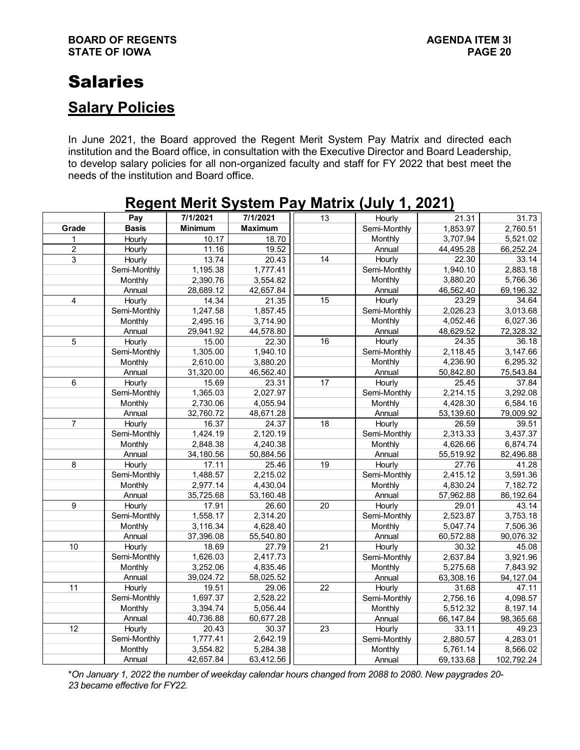# Salaries

### **Salary Policies**

In June 2021, the Board approved the Regent Merit System Pay Matrix and directed each institution and the Board office, in consultation with the Executive Director and Board Leadership, to develop salary policies for all non-organized faculty and staff for FY 2022 that best meet the needs of the institution and Board office.

|                 |              | Reyent Ment Jystem Fay Matrix (July 1, 2021) |                |                 |              |           |            |
|-----------------|--------------|----------------------------------------------|----------------|-----------------|--------------|-----------|------------|
|                 | Pay          | 7/1/2021                                     | 7/1/2021       | 13              | Hourly       | 21.31     | 31.73      |
| Grade           | <b>Basis</b> | <b>Minimum</b>                               | <b>Maximum</b> |                 | Semi-Monthly | 1,853.97  | 2,760.51   |
| 1               | Hourly       | $\overline{10.17}$                           | 18.70          |                 | Monthly      | 3,707.94  | 5,521.02   |
| $\overline{c}$  | Hourly       | 11.16                                        | 19.52          |                 | Annual       | 44,495.28 | 66,252.24  |
| 3               | Hourly       | 13.74                                        | 20.43          | 14              | Hourly       | 22.30     | 33.14      |
|                 | Semi-Monthly | 1,195.38                                     | 1,777.41       |                 | Semi-Monthly | 1,940.10  | 2,883.18   |
|                 | Monthly      | 2,390.76                                     | 3,554.82       |                 | Monthly      | 3,880.20  | 5,766.36   |
|                 | Annual       | 28,689.12                                    | 42,657.84      |                 | Annual       | 46,562.40 | 69,196.32  |
| 4               | Hourly       | 14.34                                        | 21.35          | $\overline{15}$ | Hourly       | 23.29     | 34.64      |
|                 | Semi-Monthly | 1,247.58                                     | 1,857.45       |                 | Semi-Monthly | 2,026.23  | 3,013.68   |
|                 | Monthly      | 2,495.16                                     | 3,714.90       |                 | Monthly      | 4,052.46  | 6,027.36   |
|                 | Annual       | 29,941.92                                    | 44,578.80      |                 | Annual       | 48,629.52 | 72,328.32  |
| 5               | Hourly       | 15.00                                        | 22.30          | 16              | Hourly       | 24.35     | 36.18      |
|                 | Semi-Monthly | 1,305.00                                     | 1,940.10       |                 | Semi-Monthly | 2,118.45  | 3,147.66   |
|                 | Monthly      | 2,610.00                                     | 3,880.20       |                 | Monthly      | 4,236.90  | 6,295.32   |
|                 | Annual       | 31,320.00                                    | 46,562.40      |                 | Annual       | 50,842.80 | 75,543.84  |
| 6               | Hourly       | 15.69                                        | 23.31          | 17              | Hourly       | 25.45     | 37.84      |
|                 | Semi-Monthly | 1,365.03                                     | 2,027.97       |                 | Semi-Monthly | 2,214.15  | 3,292.08   |
|                 | Monthly      | 2,730.06                                     | 4,055.94       |                 | Monthly      | 4,428.30  | 6,584.16   |
|                 | Annual       | 32,760.72                                    | 48,671.28      |                 | Annual       | 53,139.60 | 79,009.92  |
| $\overline{7}$  | Hourly       | 16.37                                        | 24.37          | $\overline{18}$ | Hourly       | 26.59     | 39.51      |
|                 | Semi-Monthly | 1,424.19                                     | 2,120.19       |                 | Semi-Monthly | 2,313.33  | 3,437.37   |
|                 | Monthly      | 2,848.38                                     | 4,240.38       |                 | Monthly      | 4,626.66  | 6,874.74   |
|                 | Annual       | 34,180.56                                    | 50,884.56      |                 | Annual       | 55,519.92 | 82,496.88  |
| 8               | Hourly       | 17.11                                        | 25.46          | 19              | Hourly       | 27.76     | 41.28      |
|                 | Semi-Monthly | 1,488.57                                     | 2,215.02       |                 | Semi-Monthly | 2,415.12  | 3,591.36   |
|                 | Monthly      | 2,977.14                                     | 4,430.04       |                 | Monthly      | 4,830.24  | 7,182.72   |
|                 | Annual       | 35,725.68                                    | 53,160.48      |                 | Annual       | 57,962.88 | 86,192.64  |
| 9               | Hourly       | 17.91                                        | 26.60          | 20              | Hourly       | 29.01     | 43.14      |
|                 | Semi-Monthly | 1,558.17                                     | 2,314.20       |                 | Semi-Monthly | 2,523.87  | 3,753.18   |
|                 | Monthly      | 3,116.34                                     | 4,628.40       |                 | Monthly      | 5,047.74  | 7,506.36   |
|                 | Annual       | 37,396.08                                    | 55,540.80      |                 | Annual       | 60,572.88 | 90,076.32  |
| 10              | Hourly       | 18.69                                        | 27.79          | 21              | Hourly       | 30.32     | 45.08      |
|                 | Semi-Monthly | 1,626.03                                     | 2,417.73       |                 | Semi-Monthly | 2,637.84  | 3,921.96   |
|                 | Monthly      | 3,252.06                                     | 4,835.46       |                 | Monthly      | 5,275.68  | 7,843.92   |
|                 | Annual       | 39,024.72                                    | 58,025.52      |                 | Annual       | 63,308.16 | 94,127.04  |
| $\overline{11}$ | Hourly       | 19.51                                        | 29.06          | 22              | Hourly       | 31.68     | 47.11      |
|                 | Semi-Monthly | 1,697.37                                     | 2,528.22       |                 | Semi-Monthly | 2,756.16  | 4,098.57   |
|                 | Monthly      | 3,394.74                                     | 5,056.44       |                 | Monthly      | 5,512.32  | 8,197.14   |
|                 | Annual       | 40,736.88                                    | 60,677.28      |                 | Annual       | 66,147.84 | 98,365.68  |
| 12              | Hourly       | 20.43                                        | 30.37          | 23              | Hourly       | 33.11     | 49.23      |
|                 | Semi-Monthly | 1,777.41                                     | 2,642.19       |                 | Semi-Monthly | 2,880.57  | 4,283.01   |
|                 | Monthly      | 3,554.82                                     | 5,284.38       |                 | Monthly      | 5,761.14  | 8,566.02   |
|                 | Annual       | 42,657.84                                    | 63,412.56      |                 | Annual       | 69,133.68 | 102,792.24 |

### **Regent Merit System Pay Matrix (July 1, 2021)**

\**On January 1, 2022 the number of weekday calendar hours changed from 2088 to 2080. New paygrades 20- 23 became effective for FY22.*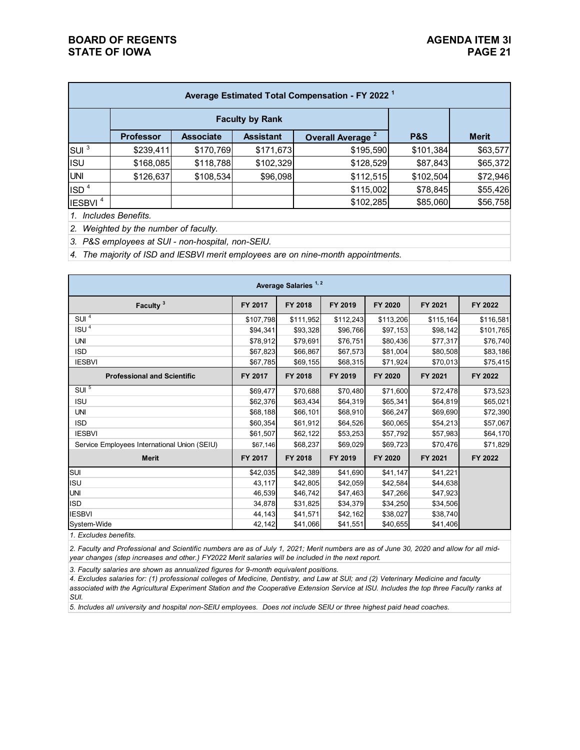| Average Estimated Total Compensation - FY 2022 <sup>1</sup> |                  |                  |                  |                              |                |              |  |  |  |
|-------------------------------------------------------------|------------------|------------------|------------------|------------------------------|----------------|--------------|--|--|--|
|                                                             |                  |                  |                  |                              |                |              |  |  |  |
|                                                             | <b>Professor</b> | <b>Associate</b> | <b>Assistant</b> | Overall Average <sup>2</sup> | <b>P&amp;S</b> | <b>Merit</b> |  |  |  |
| SUI <sup>3</sup>                                            | \$239,411        | \$170,769        | \$171,673        | \$195,590                    | \$101,384      | \$63,577     |  |  |  |
| <b>ISU</b>                                                  | \$168,085        | \$118,788        | \$102,329        | \$128,529                    | \$87,843       | \$65,372     |  |  |  |
| <b>UNI</b>                                                  | \$126,637        | \$108,534        | \$96,098         | \$112,515                    | \$102,504      | \$72,946     |  |  |  |
| ISD <sup>4</sup>                                            |                  |                  |                  | \$115,002                    | \$78,845       | \$55,426     |  |  |  |
| IESBVI <sup>4</sup>                                         |                  |                  |                  | \$102,285                    | \$85,060       | \$56,758     |  |  |  |

*1. Includes Benefits.*

*2. Weighted by the number of faculty.*

*3. P&S employees at SUI - non-hospital, non-SEIU.*

*4. The majority of ISD and IESBVI merit employees are on nine-month appointments.*

| Average Salaries <sup>1,2</sup>              |           |           |           |           |           |           |  |  |
|----------------------------------------------|-----------|-----------|-----------|-----------|-----------|-----------|--|--|
| Faculty <sup>3</sup>                         | FY 2017   | FY 2018   | FY 2019   | FY 2020   | FY 2021   | FY 2022   |  |  |
| SU <sup>4</sup>                              | \$107,798 | \$111,952 | \$112,243 | \$113,206 | \$115,164 | \$116,581 |  |  |
| ISU <sup>4</sup>                             | \$94,341  | \$93,328  | \$96,766  | \$97,153  | \$98,142  | \$101,765 |  |  |
| <b>UNI</b>                                   | \$78,912  | \$79,691  | \$76,751  | \$80,436  | \$77,317  | \$76,740  |  |  |
| <b>ISD</b>                                   | \$67,823  | \$66,867  | \$67,573  | \$81,004  | \$80,508  | \$83,186  |  |  |
| <b>IESBVI</b>                                | \$67,785  | \$69,155  | \$68,315  | \$71,924  | \$70,013  | \$75,415  |  |  |
| <b>Professional and Scientific</b>           | FY 2017   | FY 2018   | FY 2019   | FY 2020   | FY 2021   | FY 2022   |  |  |
| SUI <sup>5</sup>                             | \$69,477  | \$70,688  | \$70,480  | \$71,600  | \$72,478  | \$73,523  |  |  |
| <b>ISU</b>                                   | \$62,376  | \$63,434  | \$64,319  | \$65,341  | \$64,819  | \$65,021  |  |  |
| <b>UNI</b>                                   | \$68,188  | \$66,101  | \$68,910  | \$66,247  | \$69,690  | \$72,390  |  |  |
| <b>ISD</b>                                   | \$60,354  | \$61,912  | \$64,526  | \$60,065  | \$54,213  | \$57,067  |  |  |
| <b>IESBVI</b>                                | \$61,507  | \$62,122  | \$53,253  | \$57,792  | \$57,983  | \$64,170  |  |  |
| Service Employees International Union (SEIU) | \$67,146  | \$68,237  | \$69,029  | \$69,723  | \$70,476  | \$71,829  |  |  |
| <b>Merit</b>                                 | FY 2017   | FY 2018   | FY 2019   | FY 2020   | FY 2021   | FY 2022   |  |  |
| SUI                                          | \$42,035  | \$42,389  | \$41,690  | \$41,147  | \$41,221  |           |  |  |
| <b>ISU</b>                                   | 43,117    | \$42,805  | \$42,059  | \$42,584  | \$44,638  |           |  |  |
| <b>UNI</b>                                   | 46,539    | \$46,742  | \$47,463  | \$47,266  | \$47,923  |           |  |  |
| <b>ISD</b>                                   | 34,878    | \$31,825  | \$34,379  | \$34,250  | \$34,506  |           |  |  |
| <b>IESBVI</b>                                | 44,143    | \$41,571  | \$42,162  | \$38,027  | \$38,740  |           |  |  |
| System-Wide                                  | 42,142    | \$41,066  | \$41,551  | \$40,655  | \$41,406  |           |  |  |

*1. Excludes benefits.*

*2. Faculty and Professional and Scientific numbers are as of July 1, 2021; Merit numbers are as of June 30, 2020 and allow for all midyear changes (step increases and other.) FY2022 Merit salaries will be included in the next report.*

*3. Faculty salaries are shown as annualized figures for 9-month equivalent positions.*

*4. Excludes salaries for: (1) professional colleges of Medicine, Dentistry, and Law at SUI; and (2) Veterinary Medicine and faculty*  associated with the Agricultural Experiment Station and the Cooperative Extension Service at ISU. Includes the top three Faculty ranks at *SUI.*

*5. Includes all university and hospital non-SEIU employees. Does not include SEIU or three highest paid head coaches.*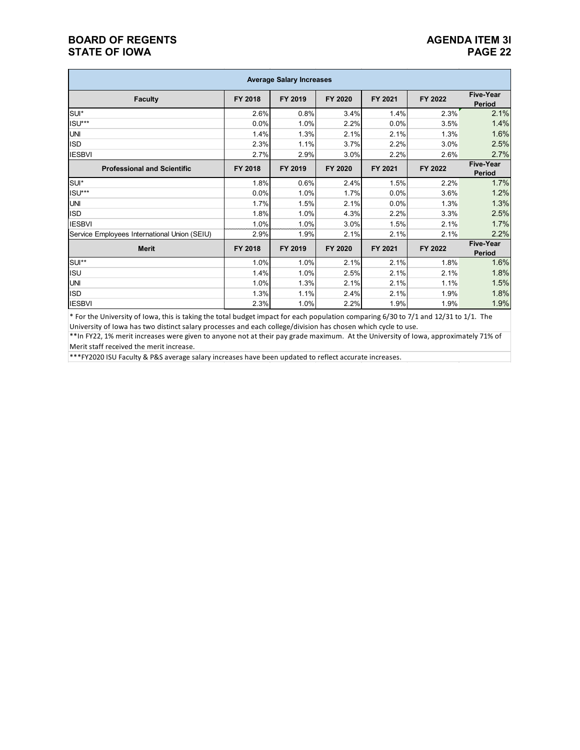#### **BOARD OF REGENTS**<br>STATE OF IOWA **PAGE 22 STATE OF IOWA**

| <b>Average Salary Increases</b>              |         |         |         |         |         |                                   |  |  |
|----------------------------------------------|---------|---------|---------|---------|---------|-----------------------------------|--|--|
| <b>Faculty</b>                               | FY 2018 | FY 2019 | FY 2020 | FY 2021 | FY 2022 | <b>Five-Year</b><br>Period        |  |  |
| SUI*                                         | 2.6%    | 0.8%    | 3.4%    | 1.4%    | 2.3%    | 2.1%                              |  |  |
| ISU***                                       | 0.0%    | 1.0%    | 2.2%    | 0.0%    | 3.5%    | 1.4%                              |  |  |
| <b>UNI</b>                                   | 1.4%    | 1.3%    | 2.1%    | 2.1%    | 1.3%    | 1.6%                              |  |  |
| <b>ISD</b>                                   | 2.3%    | 1.1%    | 3.7%    | 2.2%    | 3.0%    | 2.5%                              |  |  |
| <b>IESBVI</b>                                | 2.7%    | 2.9%    | 3.0%    | 2.2%    | 2.6%    | 2.7%                              |  |  |
| <b>Professional and Scientific</b>           | FY 2018 | FY 2019 | FY 2020 | FY 2021 | FY 2022 | <b>Five-Year</b><br><b>Period</b> |  |  |
| SUI*                                         | 1.8%    | 0.6%    | 2.4%    | 1.5%    | 2.2%    | 1.7%                              |  |  |
| ISU***                                       | 0.0%    | 1.0%    | 1.7%    | 0.0%    | 3.6%    | 1.2%                              |  |  |
| <b>UNI</b>                                   | 1.7%    | 1.5%    | 2.1%    | 0.0%    | 1.3%    | 1.3%                              |  |  |
| <b>ISD</b>                                   | 1.8%    | 1.0%    | 4.3%    | 2.2%    | 3.3%    | 2.5%                              |  |  |
| <b>IESBVI</b>                                | 1.0%    | 1.0%    | 3.0%    | 1.5%    | 2.1%    | 1.7%                              |  |  |
| Service Employees International Union (SEIU) | 2.9%    | 1.9%    | 2.1%    | 2.1%    | 2.1%    | 2.2%                              |  |  |
| <b>Merit</b>                                 | FY 2018 | FY 2019 | FY 2020 | FY 2021 | FY 2022 | Five-Year<br>Period               |  |  |
| SUI**                                        | 1.0%    | 1.0%    | 2.1%    | 2.1%    | 1.8%    | 1.6%                              |  |  |
| <b>ISU</b>                                   | 1.4%    | 1.0%    | 2.5%    | 2.1%    | 2.1%    | 1.8%                              |  |  |
| <b>UNI</b>                                   | 1.0%    | 1.3%    | 2.1%    | 2.1%    | 1.1%    | 1.5%                              |  |  |
| <b>ISD</b>                                   | 1.3%    | 1.1%    | 2.4%    | 2.1%    | 1.9%    | 1.8%                              |  |  |
| <b>IESBVI</b>                                | 2.3%    | 1.0%    | 2.2%    | 1.9%    | 1.9%    | 1.9%                              |  |  |

 $*$  For the University of Iowa, this is taking the total budget impact for each population comparing 6/30 to 7/1 and 12/31 to 1/1. The University of Iowa has two distinct salary processes and each college/division has chosen which cycle to use.

\*\*In FY22, 1% merit increases were given to anyone not at their pay grade maximum. At the University of Iowa, approximately 71% of Merit staff received the merit increase.

\*\*\*FY2020 ISU Faculty & P&S average salary increases have been updated to reflect accurate increases.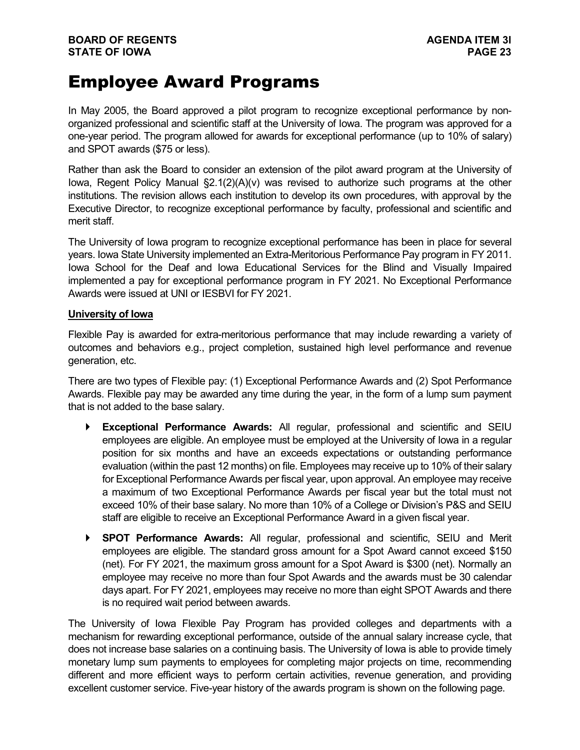## Employee Award Programs

In May 2005, the Board approved a pilot program to recognize exceptional performance by nonorganized professional and scientific staff at the University of Iowa. The program was approved for a one-year period. The program allowed for awards for exceptional performance (up to 10% of salary) and SPOT awards (\$75 or less).

Rather than ask the Board to consider an extension of the pilot award program at the University of Iowa, Regent Policy Manual §2.1(2)(A)(v) was revised to authorize such programs at the other institutions. The revision allows each institution to develop its own procedures, with approval by the Executive Director, to recognize exceptional performance by faculty, professional and scientific and merit staff.

The University of Iowa program to recognize exceptional performance has been in place for several years. Iowa State University implemented an Extra-Meritorious Performance Pay program in FY 2011. Iowa School for the Deaf and Iowa Educational Services for the Blind and Visually Impaired implemented a pay for exceptional performance program in FY 2021. No Exceptional Performance Awards were issued at UNI or IESBVI for FY 2021.

#### **University of Iowa**

Flexible Pay is awarded for extra-meritorious performance that may include rewarding a variety of outcomes and behaviors e.g., project completion, sustained high level performance and revenue generation, etc.

There are two types of Flexible pay: (1) Exceptional Performance Awards and (2) Spot Performance Awards. Flexible pay may be awarded any time during the year, in the form of a lump sum payment that is not added to the base salary.

- **Exceptional Performance Awards:** All regular, professional and scientific and SEIU employees are eligible. An employee must be employed at the University of Iowa in a regular position for six months and have an exceeds expectations or outstanding performance evaluation (within the past 12 months) on file. Employees may receive up to 10% of their salary for Exceptional Performance Awards per fiscal year, upon approval. An employee may receive a maximum of two Exceptional Performance Awards per fiscal year but the total must not exceed 10% of their base salary. No more than 10% of a College or Division's P&S and SEIU staff are eligible to receive an Exceptional Performance Award in a given fiscal year.
- **SPOT Performance Awards:** All regular, professional and scientific, SEIU and Merit employees are eligible. The standard gross amount for a Spot Award cannot exceed \$150 (net). For FY 2021, the maximum gross amount for a Spot Award is \$300 (net). Normally an employee may receive no more than four Spot Awards and the awards must be 30 calendar days apart. For FY 2021, employees may receive no more than eight SPOT Awards and there is no required wait period between awards.

The University of Iowa Flexible Pay Program has provided colleges and departments with a mechanism for rewarding exceptional performance, outside of the annual salary increase cycle, that does not increase base salaries on a continuing basis. The University of Iowa is able to provide timely monetary lump sum payments to employees for completing major projects on time, recommending different and more efficient ways to perform certain activities, revenue generation, and providing excellent customer service. Five-year history of the awards program is shown on the following page.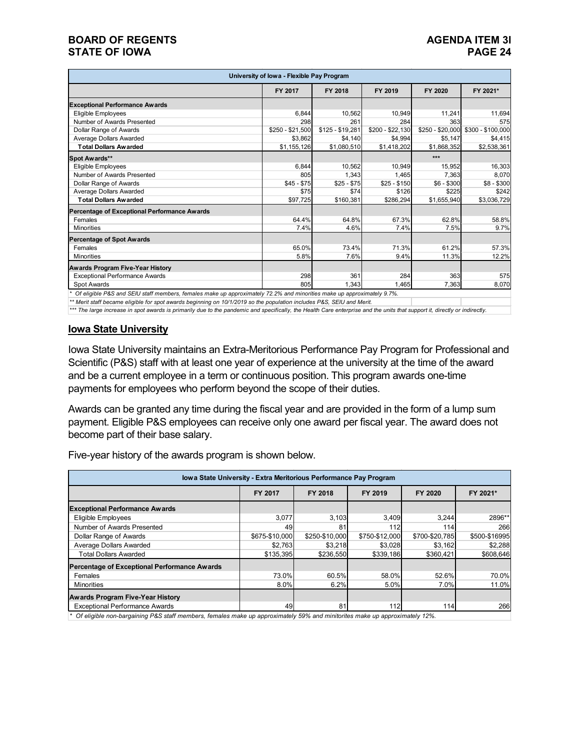#### **BOARD OF REGENTS**<br>STATE OF IOWA **PAGE 24 STATE OF IOWA**

| University of Iowa - Flexible Pay Program                                                                              |                  |                  |                  |                  |                   |  |  |
|------------------------------------------------------------------------------------------------------------------------|------------------|------------------|------------------|------------------|-------------------|--|--|
|                                                                                                                        | FY 2017          | FY 2018          | FY 2019          | FY 2020          | FY 2021*          |  |  |
| <b>Exceptional Performance Awards</b>                                                                                  |                  |                  |                  |                  |                   |  |  |
| Eligible Employees                                                                                                     | 6.844            | 10.562           | 10.949           | 11.241           | 11,694            |  |  |
| Number of Awards Presented                                                                                             | 298              | 261              | 284              | 363              | 575               |  |  |
| Dollar Range of Awards                                                                                                 | $$250 - $21,500$ | $$125 - $19,281$ | \$200 - \$22,130 | $$250 - $20,000$ | \$300 - \$100,000 |  |  |
| Average Dollars Awarded                                                                                                | \$3,862          | \$4,140          | \$4,994          | \$5,147          | \$4,415           |  |  |
| <b>Total Dollars Awarded</b>                                                                                           | \$1,155,126      | \$1,080,510      | \$1,418,202      | \$1,868,352      | \$2,538,361       |  |  |
| Spot Awards**                                                                                                          |                  |                  |                  | $***$            |                   |  |  |
| Eligible Employees                                                                                                     | 6.844            | 10.562           | 10.949           | 15,952           | 16,303            |  |  |
| Number of Awards Presented                                                                                             | 805              | 1,343            | 1.465            | 7,363            | 8,070             |  |  |
| Dollar Range of Awards                                                                                                 | $$45 - $75$      | $$25 - $75$      | $$25 - $150$     | $$6 - $300$      | $$8 - $300$       |  |  |
| Average Dollars Awarded                                                                                                | \$75             | \$74             | \$126            | \$225            | \$242             |  |  |
| <b>Total Dollars Awarded</b>                                                                                           | \$97,725         | \$160,381        | \$286,294        | \$1,655,940      | \$3,036,729       |  |  |
| Percentage of Exceptional Performance Awards                                                                           |                  |                  |                  |                  |                   |  |  |
| Females                                                                                                                | 64.4%            | 64.8%            | 67.3%            | 62.8%            | 58.8%             |  |  |
| <b>Minorities</b>                                                                                                      | 7.4%             | 4.6%             | 7.4%             | 7.5%             | 9.7%              |  |  |
| <b>Percentage of Spot Awards</b>                                                                                       |                  |                  |                  |                  |                   |  |  |
| Females                                                                                                                | 65.0%            | 73.4%            | 71.3%            | 61.2%            | 57.3%             |  |  |
| <b>Minorities</b>                                                                                                      | 5.8%             | 7.6%             | 9.4%             | 11.3%            | 12.2%             |  |  |
| Awards Program Five-Year History                                                                                       |                  |                  |                  |                  |                   |  |  |
| Exceptional Performance Awards                                                                                         | 298              | 361              | 284              | 363              | 575               |  |  |
| Spot Awards                                                                                                            | 805              | 1.343            | 1.465            | 7,363            | 8,070             |  |  |
| Of eligible P&S and SEIU staff members, females make up approximately 72.2% and minorities make up approximately 9.7%. |                  |                  |                  |                  |                   |  |  |

*\*\* Merit staff became eligible for spot awards beginning on 10/1/2019 so the population includes P&S, SEIU and Merit.*

*\*\*\* The large increase in spot awards is primarily due to the pandemic and specifically, the Health Care enterprise and the units that support it, directly or indirectly.*

#### **Iowa State University**

Iowa State University maintains an Extra-Meritorious Performance Pay Program for Professional and Scientific (P&S) staff with at least one year of experience at the university at the time of the award and be a current employee in a term or continuous position. This program awards one-time payments for employees who perform beyond the scope of their duties.

Awards can be granted any time during the fiscal year and are provided in the form of a lump sum payment. Eligible P&S employees can receive only one award per fiscal year. The award does not become part of their base salary.

Five-year history of the awards program is shown below.

| Iowa State University - Extra Meritorious Performance Pay Program |                |                |                |                |               |  |  |  |
|-------------------------------------------------------------------|----------------|----------------|----------------|----------------|---------------|--|--|--|
|                                                                   | FY 2017        | FY 2018        | FY 2019        | FY 2020        | FY 2021*      |  |  |  |
| <b>Exceptional Performance Awards</b>                             |                |                |                |                |               |  |  |  |
| Eligible Employees                                                | 3,077          | 3,103          | 3,409          | 3.244          | 2896**        |  |  |  |
| Number of Awards Presented                                        | 49             | 81             | 112            | 114            | 266           |  |  |  |
| Dollar Range of Awards                                            | \$675-\$10,000 | \$250-\$10.000 | \$750-\$12,000 | \$700-\$20.785 | \$500-\$16995 |  |  |  |
| Average Dollars Awarded                                           | \$2,763        | \$3,218        | \$3,028        | \$3,162        | \$2,288       |  |  |  |
| <b>Total Dollars Awarded</b>                                      | \$135,395      | \$236,550      | \$339,186      | \$360,421      | \$608,646     |  |  |  |
| Percentage of Exceptional Performance Awards                      |                |                |                |                |               |  |  |  |
| Females                                                           | 73.0%          | 60.5%          | 58.0%          | 52.6%          | 70.0%         |  |  |  |
| <b>Minorities</b>                                                 | 8.0%           | 6.2%           | 5.0%           | 7.0%           | 11.0%         |  |  |  |
| <b>Awards Program Five-Year History</b>                           |                |                |                |                |               |  |  |  |
| <b>Exceptional Performance Awards</b>                             | 49             | 81             | 112            | 114            | 266           |  |  |  |

*\* Of eligible non-bargaining P&S staff members, females make up approximately 59% and minitorites make up approximately 12%.*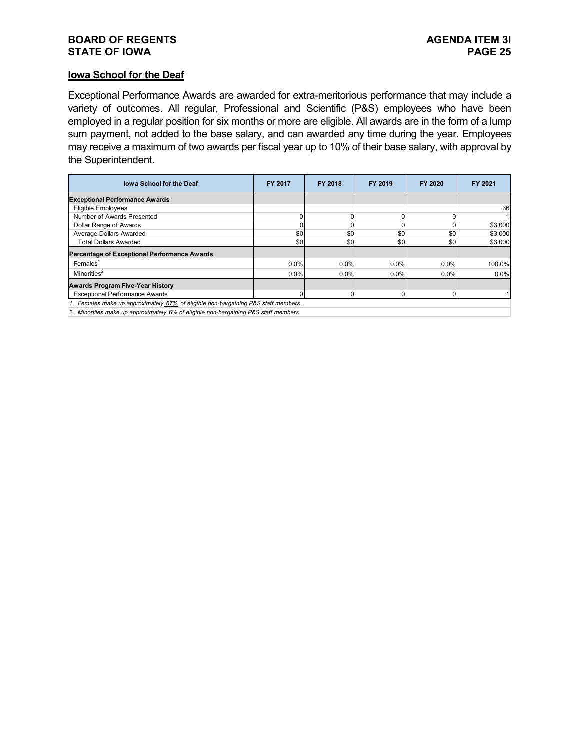#### **BOARD OF REGENTS**<br> **BOARD OF REGENTS**<br> **BOARD OF IOWA**<br>
PAGE 25 **STATE OF IOWA**

#### **Iowa School for the Deaf**

Exceptional Performance Awards are awarded for extra-meritorious performance that may include a variety of outcomes. All regular, Professional and Scientific (P&S) employees who have been employed in a regular position for six months or more are eligible. All awards are in the form of a lump sum payment, not added to the base salary, and can awarded any time during the year. Employees may receive a maximum of two awards per fiscal year up to 10% of their base salary, with approval by the Superintendent.

| lowa School for the Deaf                                                           | <b>FY 2017</b> | FY 2018 | FY 2019 | FY 2020 | FY 2021 |
|------------------------------------------------------------------------------------|----------------|---------|---------|---------|---------|
| <b>Exceptional Performance Awards</b>                                              |                |         |         |         |         |
| Eligible Employees                                                                 |                |         |         |         | 36      |
| Number of Awards Presented                                                         |                |         | 0       |         |         |
| Dollar Range of Awards                                                             |                |         |         |         | \$3,000 |
| Average Dollars Awarded                                                            | \$0            | \$0     | \$0     | \$0     | \$3,000 |
| <b>Total Dollars Awarded</b>                                                       | \$0            | \$0     | \$0     | \$0     | \$3,000 |
| Percentage of Exceptional Performance Awards                                       |                |         |         |         |         |
| $F$ emales <sup>1</sup>                                                            | $0.0\%$        | 0.0%    | 0.0%    | $0.0\%$ | 100.0%  |
| Minorities <sup>2</sup>                                                            | $0.0\%$        | $0.0\%$ | 0.0%    | 0.0%    | $0.0\%$ |
| <b>Awards Program Five-Year History</b>                                            |                |         |         |         |         |
| <b>Exceptional Performance Awards</b>                                              |                | N       |         |         |         |
| 1. Females make up approximately 67% of eligible non-bargaining P&S staff members. |                |         |         |         |         |

*2. Minorities make up approximately* 6% *of eligible non-bargaining P&S staff members.*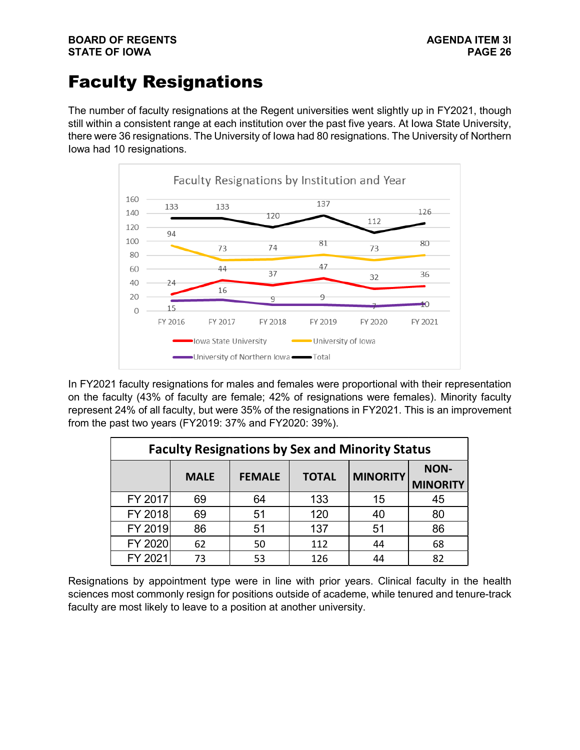# Faculty Resignations

The number of faculty resignations at the Regent universities went slightly up in FY2021, though still within a consistent range at each institution over the past five years. At Iowa State University, there were 36 resignations. The University of Iowa had 80 resignations. The University of Northern Iowa had 10 resignations.



In FY2021 faculty resignations for males and females were proportional with their representation on the faculty (43% of faculty are female; 42% of resignations were females). Minority faculty represent 24% of all faculty, but were 35% of the resignations in FY2021. This is an improvement from the past two years (FY2019: 37% and FY2020: 39%).

| <b>Faculty Resignations by Sex and Minority Status</b> |             |               |              |                 |                                |  |  |
|--------------------------------------------------------|-------------|---------------|--------------|-----------------|--------------------------------|--|--|
|                                                        | <b>MALE</b> | <b>FEMALE</b> | <b>TOTAL</b> | <b>MINORITY</b> | <b>NON-</b><br><b>MINORITY</b> |  |  |
| FY 2017                                                | 69          | 64            | 133          | 15              | 45                             |  |  |
| FY 2018                                                | 69          | 51            | 120          | 40              | 80                             |  |  |
| FY 2019                                                | 86          | 51            | 137          | 51              | 86                             |  |  |
| FY 2020                                                | 62          | 50            | 112          | 44              | 68                             |  |  |
| FY 2021                                                | 73          | 53            | 126          | 44              | 82                             |  |  |

Resignations by appointment type were in line with prior years. Clinical faculty in the health sciences most commonly resign for positions outside of academe, while tenured and tenure-track faculty are most likely to leave to a position at another university.